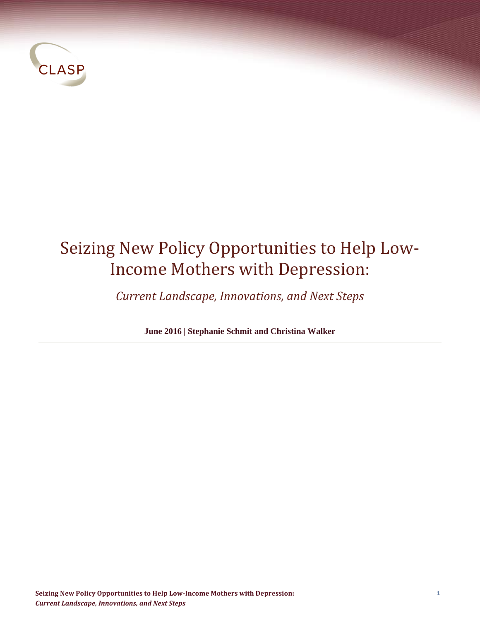

## Seizing New Policy Opportunities to Help Low-Income Mothers with Depression:

*Current Landscape, Innovations, and Next Steps* 

**June 2016 | Stephanie Schmit and Christina Walker**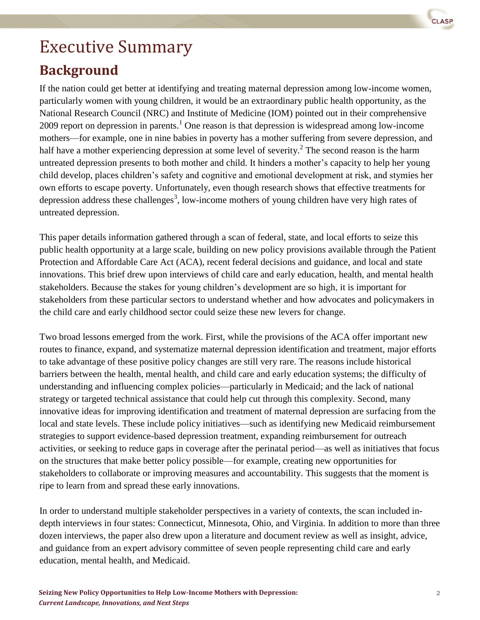

## Executive Summary

## **Background**

If the nation could get better at identifying and treating maternal depression among low-income women, particularly women with young children, it would be an extraordinary public health opportunity, as the National Research Council (NRC) and Institute of Medicine (IOM) pointed out in their comprehensive 2009 report on depression in parents.<sup>1</sup> One reason is that depression is widespread among low-income mothers—for example, one in nine babies in poverty has a mother suffering from severe depression, and half have a mother experiencing depression at some level of severity.<sup>2</sup> The second reason is the harm untreated depression presents to both mother and child. It hinders a mother's capacity to help her young child develop, places children's safety and cognitive and emotional development at risk, and stymies her own efforts to escape poverty. Unfortunately, even though research shows that effective treatments for depression address these challenges<sup>3</sup>, low-income mothers of young children have very high rates of untreated depression.

This paper details information gathered through a scan of federal, state, and local efforts to seize this public health opportunity at a large scale, building on new policy provisions available through the Patient Protection and Affordable Care Act (ACA), recent federal decisions and guidance, and local and state innovations. This brief drew upon interviews of child care and early education, health, and mental health stakeholders. Because the stakes for young children's development are so high, it is important for stakeholders from these particular sectors to understand whether and how advocates and policymakers in the child care and early childhood sector could seize these new levers for change.

Two broad lessons emerged from the work. First, while the provisions of the ACA offer important new routes to finance, expand, and systematize maternal depression identification and treatment, major efforts to take advantage of these positive policy changes are still very rare. The reasons include historical barriers between the health, mental health, and child care and early education systems; the difficulty of understanding and influencing complex policies—particularly in Medicaid; and the lack of national strategy or targeted technical assistance that could help cut through this complexity. Second, many innovative ideas for improving identification and treatment of maternal depression are surfacing from the local and state levels. These include policy initiatives—such as identifying new Medicaid reimbursement strategies to support evidence-based depression treatment, expanding reimbursement for outreach activities, or seeking to reduce gaps in coverage after the perinatal period—as well as initiatives that focus on the structures that make better policy possible—for example, creating new opportunities for stakeholders to collaborate or improving measures and accountability. This suggests that the moment is ripe to learn from and spread these early innovations.

In order to understand multiple stakeholder perspectives in a variety of contexts, the scan included indepth interviews in four states: Connecticut, Minnesota, Ohio, and Virginia. In addition to more than three dozen interviews, the paper also drew upon a literature and document review as well as insight, advice, and guidance from an expert advisory committee of seven people representing child care and early education, mental health, and Medicaid.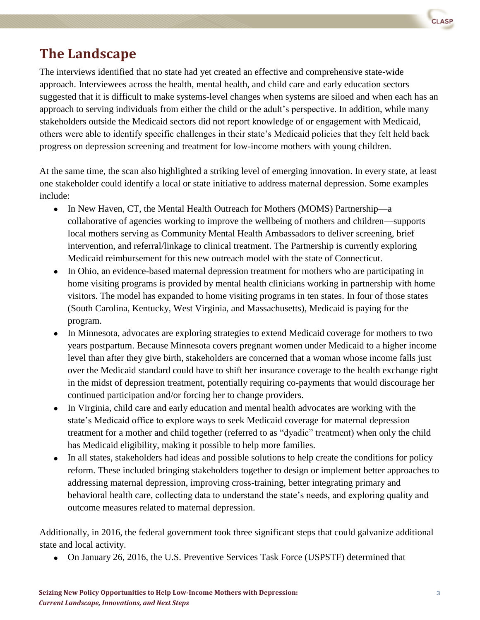

## **The Landscape**

The interviews identified that no state had yet created an effective and comprehensive state-wide approach. Interviewees across the health, mental health, and child care and early education sectors suggested that it is difficult to make systems-level changes when systems are siloed and when each has an approach to serving individuals from either the child or the adult's perspective. In addition, while many stakeholders outside the Medicaid sectors did not report knowledge of or engagement with Medicaid, others were able to identify specific challenges in their state's Medicaid policies that they felt held back progress on depression screening and treatment for low-income mothers with young children.

At the same time, the scan also highlighted a striking level of emerging innovation. In every state, at least one stakeholder could identify a local or state initiative to address maternal depression. Some examples include:

- In New Haven, CT, the Mental Health Outreach for Mothers (MOMS) Partnership—a collaborative of agencies working to improve the wellbeing of mothers and children—supports local mothers serving as Community Mental Health Ambassadors to deliver screening, brief intervention, and referral/linkage to clinical treatment. The Partnership is currently exploring Medicaid reimbursement for this new outreach model with the state of Connecticut.
- In Ohio, an evidence-based maternal depression treatment for mothers who are participating in home visiting programs is provided by mental health clinicians working in partnership with home visitors. The model has expanded to home visiting programs in ten states. In four of those states (South Carolina, Kentucky, West Virginia, and Massachusetts), Medicaid is paying for the program.
- In Minnesota, advocates are exploring strategies to extend Medicaid coverage for mothers to two years postpartum. Because Minnesota covers pregnant women under Medicaid to a higher income level than after they give birth, stakeholders are concerned that a woman whose income falls just over the Medicaid standard could have to shift her insurance coverage to the health exchange right in the midst of depression treatment, potentially requiring co-payments that would discourage her continued participation and/or forcing her to change providers.
- In Virginia, child care and early education and mental health advocates are working with the state's Medicaid office to explore ways to seek Medicaid coverage for maternal depression treatment for a mother and child together (referred to as "dyadic" treatment) when only the child has Medicaid eligibility, making it possible to help more families.
- In all states, stakeholders had ideas and possible solutions to help create the conditions for policy reform. These included bringing stakeholders together to design or implement better approaches to addressing maternal depression, improving cross-training, better integrating primary and behavioral health care, collecting data to understand the state's needs, and exploring quality and outcome measures related to maternal depression.

Additionally, in 2016, the federal government took three significant steps that could galvanize additional state and local activity.

On January 26, 2016, the U.S. Preventive Services Task Force (USPSTF) determined that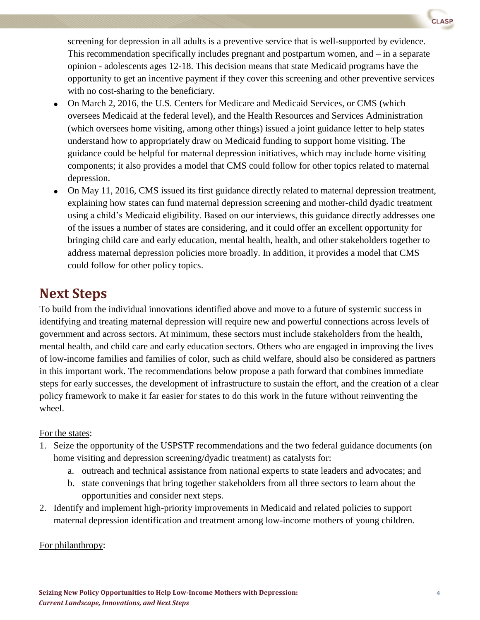screening for depression in all adults is a preventive service that is well-supported by evidence. This recommendation specifically includes pregnant and postpartum women, and – in a separate opinion - adolescents ages 12-18. This decision means that state Medicaid programs have the opportunity to get an incentive payment if they cover this screening and other preventive services with no cost-sharing to the beneficiary.

- On March 2, 2016, the U.S. Centers for Medicare and Medicaid Services, or CMS (which oversees Medicaid at the federal level), and the Health Resources and Services Administration (which oversees home visiting, among other things) issued a joint guidance letter to help states understand how to appropriately draw on Medicaid funding to support home visiting. The guidance could be helpful for maternal depression initiatives, which may include home visiting components; it also provides a model that CMS could follow for other topics related to maternal depression.
- On May 11, 2016, CMS issued its first guidance directly related to maternal depression treatment, explaining how states can fund maternal depression screening and mother-child dyadic treatment using a child's Medicaid eligibility. Based on our interviews, this guidance directly addresses one of the issues a number of states are considering, and it could offer an excellent opportunity for bringing child care and early education, mental health, health, and other stakeholders together to address maternal depression policies more broadly. In addition, it provides a model that CMS could follow for other policy topics.

## **Next Steps**

To build from the individual innovations identified above and move to a future of systemic success in identifying and treating maternal depression will require new and powerful connections across levels of government and across sectors. At minimum, these sectors must include stakeholders from the health, mental health, and child care and early education sectors. Others who are engaged in improving the lives of low-income families and families of color, such as child welfare, should also be considered as partners in this important work. The recommendations below propose a path forward that combines immediate steps for early successes, the development of infrastructure to sustain the effort, and the creation of a clear policy framework to make it far easier for states to do this work in the future without reinventing the wheel.

#### For the states:

- 1. Seize the opportunity of the USPSTF recommendations and the two federal guidance documents (on home visiting and depression screening/dyadic treatment) as catalysts for:
	- a. outreach and technical assistance from national experts to state leaders and advocates; and
	- b. state convenings that bring together stakeholders from all three sectors to learn about the opportunities and consider next steps.
- 2. Identify and implement high-priority improvements in Medicaid and related policies to support maternal depression identification and treatment among low-income mothers of young children.

For philanthropy:

**CLASP**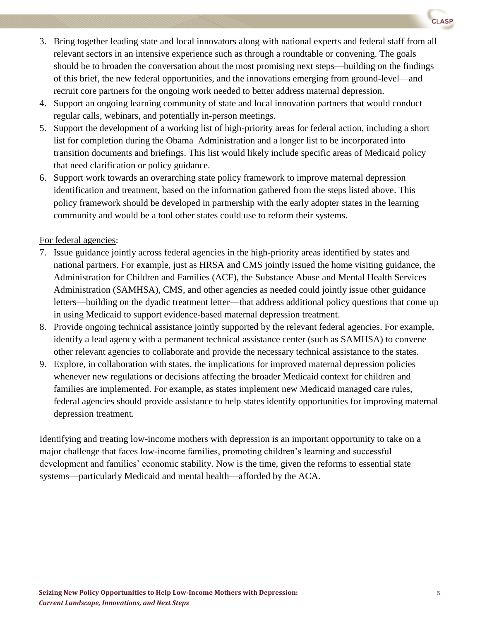- 3. Bring together leading state and local innovators along with national experts and federal staff from all relevant sectors in an intensive experience such as through a roundtable or convening. The goals should be to broaden the conversation about the most promising next steps—building on the findings of this brief, the new federal opportunities, and the innovations emerging from ground-level—and recruit core partners for the ongoing work needed to better address maternal depression.
- 4. Support an ongoing learning community of state and local innovation partners that would conduct regular calls, webinars, and potentially in-person meetings.
- 5. Support the development of a working list of high-priority areas for federal action, including a short list for completion during the Obama Administration and a longer list to be incorporated into transition documents and briefings. This list would likely include specific areas of Medicaid policy that need clarification or policy guidance.
- 6. Support work towards an overarching state policy framework to improve maternal depression identification and treatment, based on the information gathered from the steps listed above. This policy framework should be developed in partnership with the early adopter states in the learning community and would be a tool other states could use to reform their systems.

#### For federal agencies:

- 7. Issue guidance jointly across federal agencies in the high-priority areas identified by states and national partners. For example, just as HRSA and CMS jointly issued the home visiting guidance, the Administration for Children and Families (ACF), the Substance Abuse and Mental Health Services Administration (SAMHSA), CMS, and other agencies as needed could jointly issue other guidance letters—building on the dyadic treatment letter—that address additional policy questions that come up in using Medicaid to support evidence-based maternal depression treatment.
- 8. Provide ongoing technical assistance jointly supported by the relevant federal agencies. For example, identify a lead agency with a permanent technical assistance center (such as SAMHSA) to convene other relevant agencies to collaborate and provide the necessary technical assistance to the states.
- 9. Explore, in collaboration with states, the implications for improved maternal depression policies whenever new regulations or decisions affecting the broader Medicaid context for children and families are implemented. For example, as states implement new Medicaid managed care rules, federal agencies should provide assistance to help states identify opportunities for improving maternal depression treatment.

Identifying and treating low-income mothers with depression is an important opportunity to take on a major challenge that faces low-income families, promoting children's learning and successful development and families' economic stability. Now is the time, given the reforms to essential state systems—particularly Medicaid and mental health—afforded by the ACA.

**LASP**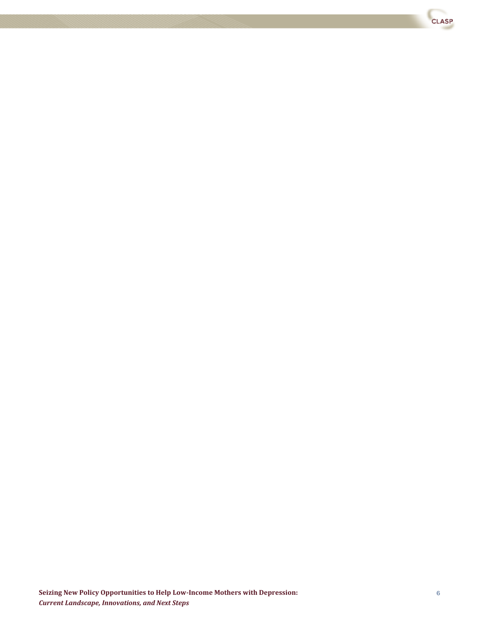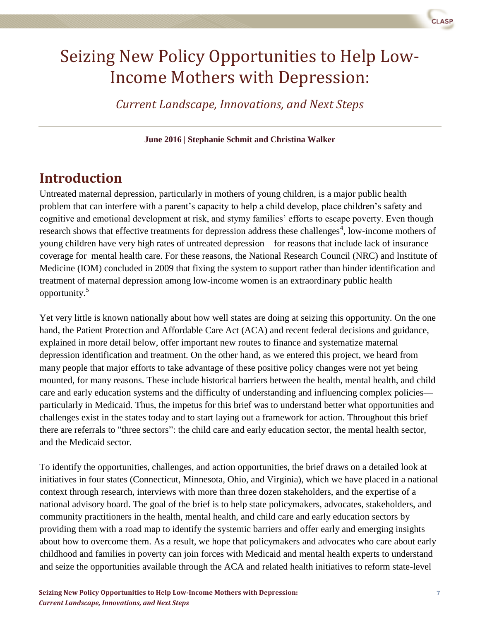## Seizing New Policy Opportunities to Help Low-Income Mothers with Depression:

*Current Landscape, Innovations, and Next Steps* 

**June 2016 | Stephanie Schmit and Christina Walker** 

## **Introduction**

Untreated maternal depression, particularly in mothers of young children, is a major public health problem that can interfere with a parent's capacity to help a child develop, place children's safety and cognitive and emotional development at risk, and stymy families' efforts to escape poverty. Even though research shows that effective treatments for depression address these challenges<sup>4</sup>, low-income mothers of young children have very high rates of untreated depression—for reasons that include lack of insurance coverage for mental health care. For these reasons, the National Research Council (NRC) and Institute of Medicine (IOM) concluded in 2009 that fixing the system to support rather than hinder identification and treatment of maternal depression among low-income women is an extraordinary public health opportunity.<sup>5</sup>

Yet very little is known nationally about how well states are doing at seizing this opportunity. On the one hand, the Patient Protection and Affordable Care Act (ACA) and recent federal decisions and guidance, explained in more detail below, offer important new routes to finance and systematize maternal depression identification and treatment. On the other hand, as we entered this project, we heard from many people that major efforts to take advantage of these positive policy changes were not yet being mounted, for many reasons. These include historical barriers between the health, mental health, and child care and early education systems and the difficulty of understanding and influencing complex policies particularly in Medicaid. Thus, the impetus for this brief was to understand better what opportunities and challenges exist in the states today and to start laying out a framework for action. Throughout this brief there are referrals to "three sectors": the child care and early education sector, the mental health sector, and the Medicaid sector.

To identify the opportunities, challenges, and action opportunities, the brief draws on a detailed look at initiatives in four states (Connecticut, Minnesota, Ohio, and Virginia), which we have placed in a national context through research, interviews with more than three dozen stakeholders, and the expertise of a national advisory board. The goal of the brief is to help state policymakers, advocates, stakeholders, and community practitioners in the health, mental health, and child care and early education sectors by providing them with a road map to identify the systemic barriers and offer early and emerging insights about how to overcome them. As a result, we hope that policymakers and advocates who care about early childhood and families in poverty can join forces with Medicaid and mental health experts to understand and seize the opportunities available through the ACA and related health initiatives to reform state-level

**Seizing New Policy Opportunities to Help Low-Income Mothers with Depression:** 7 *Current Landscape, Innovations, and Next Steps*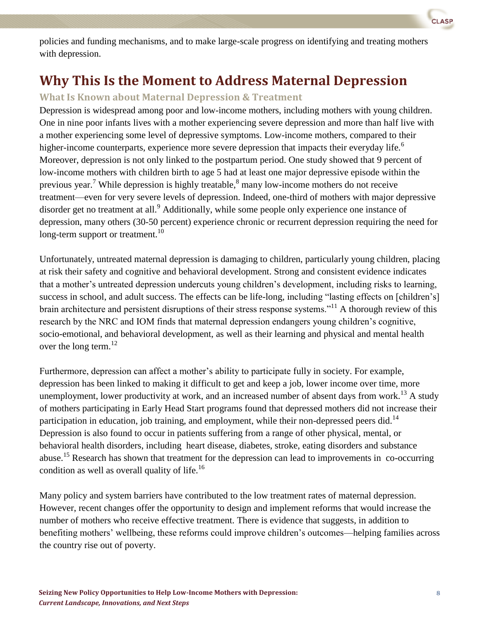

policies and funding mechanisms, and to make large-scale progress on identifying and treating mothers with depression.

## **Why This Is the Moment to Address Maternal Depression**

#### **What Is Known about Maternal Depression & Treatment**

Depression is widespread among poor and low-income mothers, including mothers with young children. One in nine poor infants lives with a mother experiencing severe depression and more than half live with a mother experiencing some level of depressive symptoms. Low-income mothers, compared to their higher-income counterparts, experience more severe depression that impacts their everyday life.<sup>6</sup> Moreover, depression is not only linked to the postpartum period. One study showed that 9 percent of low-income mothers with children birth to age 5 had at least one major depressive episode within the previous year.<sup>7</sup> While depression is highly treatable, $\frac{8}{3}$  many low-income mothers do not receive treatment—even for very severe levels of depression. Indeed, one-third of mothers with major depressive disorder get no treatment at all.<sup>9</sup> Additionally, while some people only experience one instance of depression, many others (30-50 percent) experience chronic or recurrent depression requiring the need for long-term support or treatment.<sup>10</sup>

Unfortunately, untreated maternal depression is damaging to children, particularly young children, placing at risk their safety and cognitive and behavioral development. Strong and consistent evidence indicates that a mother's untreated depression undercuts young children's development, including risks to learning, success in school, and adult success. The effects can be life-long, including "lasting effects on [children's] brain architecture and persistent disruptions of their stress response systems."<sup>11</sup> A thorough review of this research by the NRC and IOM finds that maternal depression endangers young children's cognitive, socio-emotional, and behavioral development, as well as their learning and physical and mental health over the long term. $^{12}$ 

Furthermore, depression can affect a mother's ability to participate fully in society. For example, depression has been linked to making it difficult to get and keep a job, lower income over time, more unemployment, lower productivity at work, and an increased number of absent days from work.<sup>13</sup> A study of mothers participating in Early Head Start programs found that depressed mothers did not increase their participation in education, job training, and employment, while their non-depressed peers did.<sup>14</sup> Depression is also found to occur in patients suffering from a range of other physical, mental, or behavioral health disorders, including heart disease, diabetes, stroke, eating disorders and substance abuse.<sup>15</sup> Research has shown that treatment for the depression can lead to improvements in co-occurring condition as well as overall quality of life.<sup>16</sup>

Many policy and system barriers have contributed to the low treatment rates of maternal depression. However, recent changes offer the opportunity to design and implement reforms that would increase the number of mothers who receive effective treatment. There is evidence that suggests, in addition to benefiting mothers' wellbeing, these reforms could improve children's outcomes—helping families across the country rise out of poverty.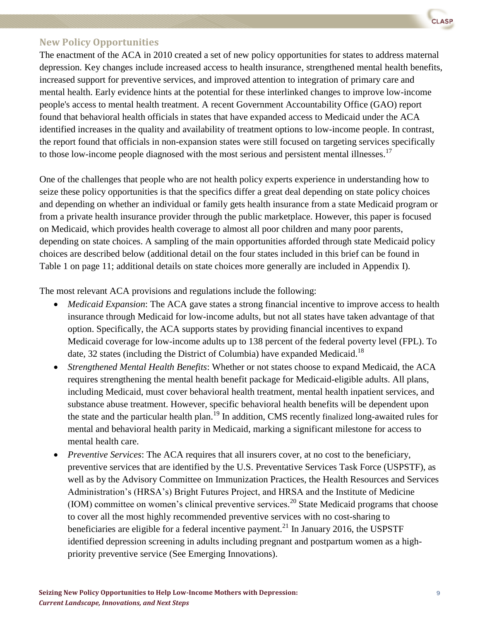

#### **New Policy Opportunities**

The enactment of the ACA in 2010 created a set of new policy opportunities for states to address maternal depression. Key changes include increased access to health insurance, strengthened mental health benefits, increased support for preventive services, and improved attention to integration of primary care and mental health. Early evidence hints at the potential for these interlinked changes to improve low-income people's access to mental health treatment. A recent Government Accountability Office (GAO) report found that behavioral health officials in states that have expanded access to Medicaid under the ACA identified increases in the quality and availability of treatment options to low-income people. In contrast, the report found that officials in non-expansion states were still focused on targeting services specifically to those low-income people diagnosed with the most serious and persistent mental illnesses.<sup>17</sup>

One of the challenges that people who are not health policy experts experience in understanding how to seize these policy opportunities is that the specifics differ a great deal depending on state policy choices and depending on whether an individual or family gets health insurance from a state Medicaid program or from a private health insurance provider through the public marketplace. However, this paper is focused on Medicaid, which provides health coverage to almost all poor children and many poor parents, depending on state choices. A sampling of the main opportunities afforded through state Medicaid policy choices are described below (additional detail on the four states included in this brief can be found in Table 1 on page 11; additional details on state choices more generally are included in Appendix I).

The most relevant ACA provisions and regulations include the following:

- *Medicaid Expansion*: The ACA gave states a strong financial incentive to improve access to health insurance through Medicaid for low-income adults, but not all states have taken advantage of that option. Specifically, the ACA supports states by providing financial incentives to expand Medicaid coverage for low-income adults up to 138 percent of the federal poverty level (FPL). To date, 32 states (including the District of Columbia) have expanded Medicaid.<sup>18</sup>
- *Strengthened Mental Health Benefits*: Whether or not states choose to expand Medicaid, the ACA requires strengthening the mental health benefit package for Medicaid-eligible adults. All plans, including Medicaid, must cover behavioral health treatment, mental health inpatient services, and substance abuse treatment. However, specific behavioral health benefits will be dependent upon the state and the particular health plan.<sup>19</sup> In addition, CMS recently finalized long-awaited rules for mental and behavioral health parity in Medicaid, marking a significant milestone for access to mental health care.
- *Preventive Services*: The ACA requires that all insurers cover, at no cost to the beneficiary, preventive services that are identified by the U.S. Preventative Services Task Force (USPSTF), as well as by the Advisory Committee on Immunization Practices, the Health Resources and Services Administration's (HRSA's) Bright Futures Project, and HRSA and the Institute of Medicine  $(IOM)$  committee on women's clinical preventive services.<sup>20</sup> State Medicaid programs that choose to cover all the most highly recommended preventive services with no cost-sharing to beneficiaries are eligible for a federal incentive payment.<sup>21</sup> In January 2016, the USPSTF identified depression screening in adults including pregnant and postpartum women as a highpriority preventive service (See Emerging Innovations).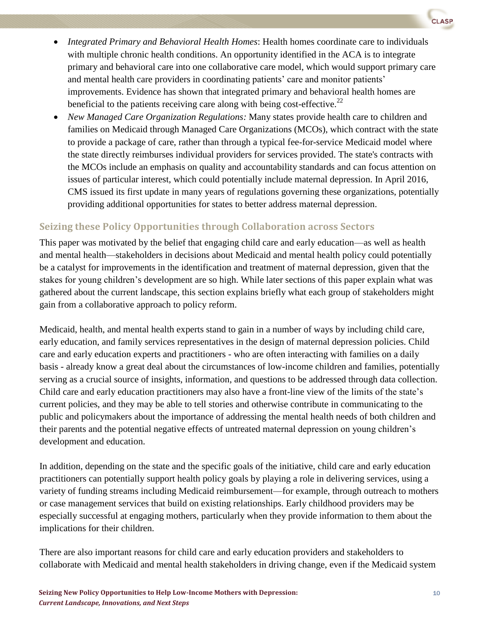- *Integrated Primary and Behavioral Health Homes*: Health homes coordinate care to individuals with multiple chronic health conditions. An opportunity identified in the ACA is to integrate primary and behavioral care into one collaborative care model, which would support primary care and mental health care providers in coordinating patients' care and monitor patients' improvements. Evidence has shown that integrated primary and behavioral health homes are beneficial to the patients receiving care along with being cost-effective.<sup>22</sup>
- *New Managed Care Organization Regulations:* Many states provide health care to children and families on Medicaid through Managed Care Organizations (MCOs), which contract with the state to provide a package of care, rather than through a typical fee-for-service Medicaid model where the state directly reimburses individual providers for services provided. The state's contracts with the MCOs include an emphasis on quality and accountability standards and can focus attention on issues of particular interest, which could potentially include maternal depression. In April 2016, CMS issued its first update in many years of regulations governing these organizations, potentially providing additional opportunities for states to better address maternal depression.

#### **Seizing these Policy Opportunities through Collaboration across Sectors**

This paper was motivated by the belief that engaging child care and early education—as well as health and mental health—stakeholders in decisions about Medicaid and mental health policy could potentially be a catalyst for improvements in the identification and treatment of maternal depression, given that the stakes for young children's development are so high. While later sections of this paper explain what was gathered about the current landscape, this section explains briefly what each group of stakeholders might gain from a collaborative approach to policy reform.

Medicaid, health, and mental health experts stand to gain in a number of ways by including child care, early education, and family services representatives in the design of maternal depression policies. Child care and early education experts and practitioners - who are often interacting with families on a daily basis - already know a great deal about the circumstances of low-income children and families, potentially serving as a crucial source of insights, information, and questions to be addressed through data collection. Child care and early education practitioners may also have a front-line view of the limits of the state's current policies, and they may be able to tell stories and otherwise contribute in communicating to the public and policymakers about the importance of addressing the mental health needs of both children and their parents and the potential negative effects of untreated maternal depression on young children's development and education.

In addition, depending on the state and the specific goals of the initiative, child care and early education practitioners can potentially support health policy goals by playing a role in delivering services, using a variety of funding streams including Medicaid reimbursement—for example, through outreach to mothers or case management services that build on existing relationships. Early childhood providers may be especially successful at engaging mothers, particularly when they provide information to them about the implications for their children.

There are also important reasons for child care and early education providers and stakeholders to collaborate with Medicaid and mental health stakeholders in driving change, even if the Medicaid system

**CLASP**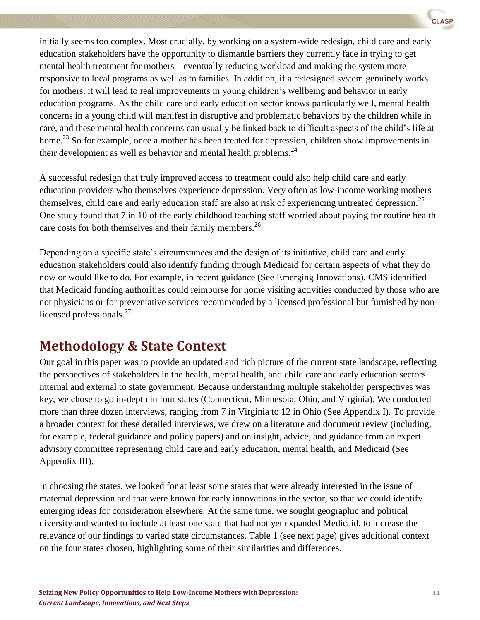initially seems too complex. Most crucially, by working on a system-wide redesign, child care and early education stakeholders have the opportunity to dismantle barriers they currently face in trying to get mental health treatment for mothers—eventually reducing workload and making the system more responsive to local programs as well as to families. In addition, if a redesigned system genuinely works for mothers, it will lead to real improvements in young children's wellbeing and behavior in early education programs. As the child care and early education sector knows particularly well, mental health concerns in a young child will manifest in disruptive and problematic behaviors by the children while in care, and these mental health concerns can usually be linked back to difficult aspects of the child's life at home.<sup>23</sup> So for example, once a mother has been treated for depression, children show improvements in their development as well as behavior and mental health problems.<sup>24</sup>

A successful redesign that truly improved access to treatment could also help child care and early education providers who themselves experience depression. Very often as low-income working mothers themselves, child care and early education staff are also at risk of experiencing untreated depression.<sup>25</sup> One study found that 7 in 10 of the early childhood teaching staff worried about paying for routine health care costs for both themselves and their family members.<sup>26</sup>

Depending on a specific state's circumstances and the design of its initiative, child care and early education stakeholders could also identify funding through Medicaid for certain aspects of what they do now or would like to do. For example, in recent guidance (See Emerging Innovations), CMS identified that Medicaid funding authorities could reimburse for home visiting activities conducted by those who are not physicians or for preventative services recommended by a licensed professional but furnished by nonlicensed professionals.<sup>27</sup>

## **Methodology & State Context**

Our goal in this paper was to provide an updated and rich picture of the current state landscape, reflecting the perspectives of stakeholders in the health, mental health, and child care and early education sectors internal and external to state government. Because understanding multiple stakeholder perspectives was key, we chose to go in-depth in four states (Connecticut, Minnesota, Ohio, and Virginia). We conducted more than three dozen interviews, ranging from 7 in Virginia to 12 in Ohio (See Appendix I). To provide a broader context for these detailed interviews, we drew on a literature and document review (including, for example, federal guidance and policy papers) and on insight, advice, and guidance from an expert advisory committee representing child care and early education, mental health, and Medicaid (See Appendix III).

In choosing the states, we looked for at least some states that were already interested in the issue of maternal depression and that were known for early innovations in the sector, so that we could identify emerging ideas for consideration elsewhere. At the same time, we sought geographic and political diversity and wanted to include at least one state that had not yet expanded Medicaid, to increase the relevance of our findings to varied state circumstances. Table 1 (see next page) gives additional context on the four states chosen, highlighting some of their similarities and differences.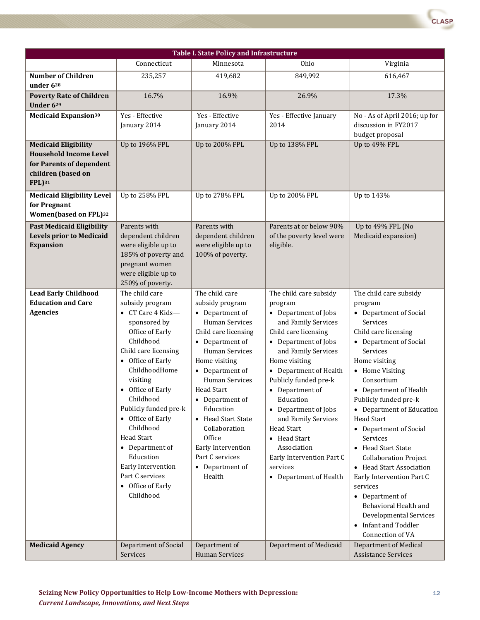| <b>Table I. State Policy and Infrastructure</b>                                                                          |                                                                                                                                                                                                                                                                                                                                                                                                      |                                                                                                                                                                                                                                                                                                                                                                       |                                                                                                                                                                                                                                                                                                                                                                                                                          |                                                                                                                                                                                                                                                                                                                                                                                                                                                                                                                                                                                 |  |  |
|--------------------------------------------------------------------------------------------------------------------------|------------------------------------------------------------------------------------------------------------------------------------------------------------------------------------------------------------------------------------------------------------------------------------------------------------------------------------------------------------------------------------------------------|-----------------------------------------------------------------------------------------------------------------------------------------------------------------------------------------------------------------------------------------------------------------------------------------------------------------------------------------------------------------------|--------------------------------------------------------------------------------------------------------------------------------------------------------------------------------------------------------------------------------------------------------------------------------------------------------------------------------------------------------------------------------------------------------------------------|---------------------------------------------------------------------------------------------------------------------------------------------------------------------------------------------------------------------------------------------------------------------------------------------------------------------------------------------------------------------------------------------------------------------------------------------------------------------------------------------------------------------------------------------------------------------------------|--|--|
|                                                                                                                          | Connecticut                                                                                                                                                                                                                                                                                                                                                                                          | Minnesota                                                                                                                                                                                                                                                                                                                                                             | Ohio                                                                                                                                                                                                                                                                                                                                                                                                                     | Virginia                                                                                                                                                                                                                                                                                                                                                                                                                                                                                                                                                                        |  |  |
| <b>Number of Children</b><br>under 628                                                                                   | 235,257                                                                                                                                                                                                                                                                                                                                                                                              | 419,682                                                                                                                                                                                                                                                                                                                                                               | 849,992                                                                                                                                                                                                                                                                                                                                                                                                                  | 616,467                                                                                                                                                                                                                                                                                                                                                                                                                                                                                                                                                                         |  |  |
| <b>Poverty Rate of Children</b><br>Under 629                                                                             | 16.7%                                                                                                                                                                                                                                                                                                                                                                                                | 16.9%                                                                                                                                                                                                                                                                                                                                                                 | 26.9%                                                                                                                                                                                                                                                                                                                                                                                                                    | 17.3%                                                                                                                                                                                                                                                                                                                                                                                                                                                                                                                                                                           |  |  |
| Medicaid Expansion <sup>30</sup>                                                                                         | Yes - Effective<br>January 2014                                                                                                                                                                                                                                                                                                                                                                      | Yes - Effective<br>January 2014                                                                                                                                                                                                                                                                                                                                       | Yes - Effective January<br>2014                                                                                                                                                                                                                                                                                                                                                                                          | No - As of April 2016; up for<br>discussion in FY2017<br>budget proposal                                                                                                                                                                                                                                                                                                                                                                                                                                                                                                        |  |  |
| <b>Medicaid Eligibility</b><br><b>Household Income Level</b><br>for Parents of dependent<br>children (based on<br>FPL)31 | Up to 196% FPL                                                                                                                                                                                                                                                                                                                                                                                       | Up to 200% FPL                                                                                                                                                                                                                                                                                                                                                        | Up to 138% FPL                                                                                                                                                                                                                                                                                                                                                                                                           | Up to 49% FPL                                                                                                                                                                                                                                                                                                                                                                                                                                                                                                                                                                   |  |  |
| <b>Medicaid Eligibility Level</b><br>for Pregnant<br><b>Women</b> (based on FPL) <sup>32</sup>                           | Up to 258% FPL                                                                                                                                                                                                                                                                                                                                                                                       | Up to 278% FPL                                                                                                                                                                                                                                                                                                                                                        | Up to 200% FPL                                                                                                                                                                                                                                                                                                                                                                                                           | Up to 143%                                                                                                                                                                                                                                                                                                                                                                                                                                                                                                                                                                      |  |  |
| <b>Past Medicaid Eligibility</b><br><b>Levels prior to Medicaid</b><br><b>Expansion</b>                                  | Parents with<br>dependent children<br>were eligible up to<br>185% of poverty and<br>pregnant women<br>were eligible up to<br>250% of poverty.                                                                                                                                                                                                                                                        | Parents with<br>dependent children<br>were eligible up to<br>100% of poverty.                                                                                                                                                                                                                                                                                         | Parents at or below 90%<br>of the poverty level were<br>eligible.                                                                                                                                                                                                                                                                                                                                                        | Up to 49% FPL (No<br>Medicaid expansion)                                                                                                                                                                                                                                                                                                                                                                                                                                                                                                                                        |  |  |
| <b>Lead Early Childhood</b><br><b>Education and Care</b><br><b>Agencies</b>                                              | The child care<br>subsidy program<br>• CT Care 4 Kids-<br>sponsored by<br>Office of Early<br>Childhood<br>Child care licensing<br>• Office of Early<br>ChildhoodHome<br>visiting<br>Office of Early<br>Childhood<br>Publicly funded pre-k<br>• Office of Early<br>Childhood<br>Head Start<br>• Department of<br>Education<br>Early Intervention<br>Part C services<br>• Office of Early<br>Childhood | The child care<br>subsidy program<br>• Department of<br>Human Services<br>Child care licensing<br>• Department of<br><b>Human Services</b><br>Home visiting<br>• Department of<br>Human Services<br>Head Start<br>• Department of<br>Education<br>• Head Start State<br>Collaboration<br>Office<br>Early Intervention<br>Part C services<br>• Department of<br>Health | The child care subsidy<br>program<br>• Department of Jobs<br>and Family Services<br>Child care licensing<br>• Department of Jobs<br>and Family Services<br>Home visiting<br>• Department of Health<br>Publicly funded pre-k<br>• Department of<br>Education<br>Department of Jobs<br>and Family Services<br>Head Start<br>• Head Start<br>Association<br>Early Intervention Part C<br>services<br>• Department of Health | The child care subsidy<br>program<br>• Department of Social<br>Services<br>Child care licensing<br>• Department of Social<br>Services<br>Home visiting<br>• Home Visiting<br>Consortium<br>• Department of Health<br>Publicly funded pre-k<br>• Department of Education<br>Head Start<br>• Department of Social<br>Services<br>• Head Start State<br><b>Collaboration Project</b><br>• Head Start Association<br>Early Intervention Part C<br>services<br>• Department of<br>Behavioral Health and<br><b>Developmental Services</b><br>• Infant and Toddler<br>Connection of VA |  |  |
| <b>Medicaid Agency</b>                                                                                                   | Department of Social<br>Services                                                                                                                                                                                                                                                                                                                                                                     | Department of<br>Human Services                                                                                                                                                                                                                                                                                                                                       | <b>Department of Medicaid</b>                                                                                                                                                                                                                                                                                                                                                                                            | <b>Department of Medical</b><br><b>Assistance Services</b>                                                                                                                                                                                                                                                                                                                                                                                                                                                                                                                      |  |  |

**CLASP**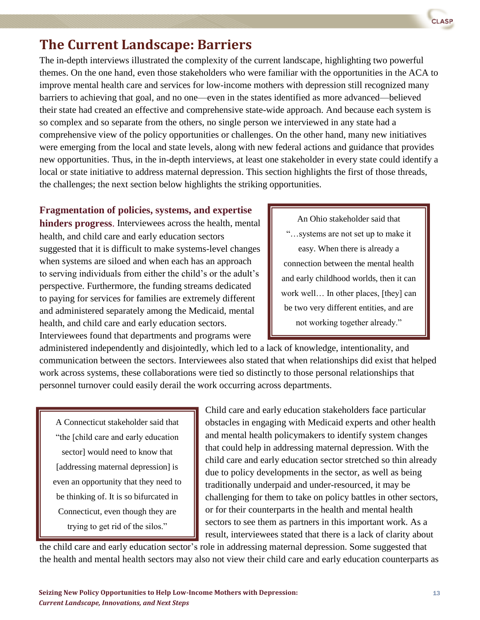## **The Current Landscape: Barriers**

The in-depth interviews illustrated the complexity of the current landscape, highlighting two powerful themes. On the one hand, even those stakeholders who were familiar with the opportunities in the ACA to improve mental health care and services for low-income mothers with depression still recognized many barriers to achieving that goal, and no one—even in the states identified as more advanced—believed their state had created an effective and comprehensive state-wide approach. And because each system is so complex and so separate from the others, no single person we interviewed in any state had a comprehensive view of the policy opportunities or challenges. On the other hand, many new initiatives were emerging from the local and state levels, along with new federal actions and guidance that provides new opportunities. Thus, in the in-depth interviews, at least one stakeholder in every state could identify a local or state initiative to address maternal depression. This section highlights the first of those threads, the challenges; the next section below highlights the striking opportunities.

#### **Fragmentation of policies, systems, and expertise**

**hinders progress**. Interviewees across the health, mental health, and child care and early education sectors suggested that it is difficult to make systems-level changes when systems are siloed and when each has an approach to serving individuals from either the child's or the adult's perspective. Furthermore, the funding streams dedicated to paying for services for families are extremely different and administered separately among the Medicaid, mental health, and child care and early education sectors. Interviewees found that departments and programs were

An Ohio stakeholder said that "…systems are not set up to make it easy. When there is already a connection between the mental health and early childhood worlds, then it can work well… In other places, [they] can be two very different entities, and are not working together already."

administered independently and disjointedly, which led to a lack of knowledge, intentionality, and communication between the sectors. Interviewees also stated that when relationships did exist that helped work across systems, these collaborations were tied so distinctly to those personal relationships that personnel turnover could easily derail the work occurring across departments.

A Connecticut stakeholder said that "the [child care and early education sector] would need to know that [addressing maternal depression] is even an opportunity that they need to be thinking of. It is so bifurcated in Connecticut, even though they are trying to get rid of the silos."

Child care and early education stakeholders face particular obstacles in engaging with Medicaid experts and other health and mental health policymakers to identify system changes that could help in addressing maternal depression. With the child care and early education sector stretched so thin already due to policy developments in the sector, as well as being traditionally underpaid and under-resourced, it may be challenging for them to take on policy battles in other sectors, or for their counterparts in the health and mental health sectors to see them as partners in this important work. As a result, interviewees stated that there is a lack of clarity about

the child care and early education sector's role in addressing maternal depression. Some suggested that the health and mental health sectors may also not view their child care and early education counterparts as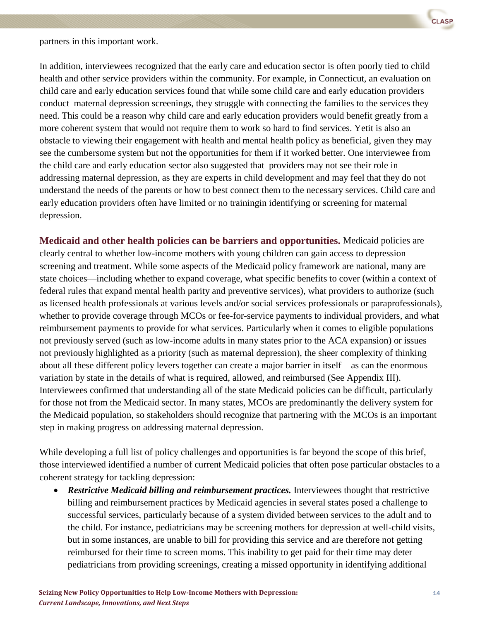

partners in this important work.

In addition, interviewees recognized that the early care and education sector is often poorly tied to child health and other service providers within the community. For example, in Connecticut, an evaluation on child care and early education services found that while some child care and early education providers conduct maternal depression screenings, they struggle with connecting the families to the services they need. This could be a reason why child care and early education providers would benefit greatly from a more coherent system that would not require them to work so hard to find services. Yetit is also an obstacle to viewing their engagement with health and mental health policy as beneficial, given they may see the cumbersome system but not the opportunities for them if it worked better. One interviewee from the child care and early education sector also suggested that providers may not see their role in addressing maternal depression, as they are experts in child development and may feel that they do not understand the needs of the parents or how to best connect them to the necessary services. Child care and early education providers often have limited or no trainingin identifying or screening for maternal depression.

**Medicaid and other health policies can be barriers and opportunities.** Medicaid policies are clearly central to whether low-income mothers with young children can gain access to depression screening and treatment. While some aspects of the Medicaid policy framework are national, many are state choices—including whether to expand coverage, what specific benefits to cover (within a context of federal rules that expand mental health parity and preventive services), what providers to authorize (such as licensed health professionals at various levels and/or social services professionals or paraprofessionals), whether to provide coverage through MCOs or fee-for-service payments to individual providers, and what reimbursement payments to provide for what services. Particularly when it comes to eligible populations not previously served (such as low-income adults in many states prior to the ACA expansion) or issues not previously highlighted as a priority (such as maternal depression), the sheer complexity of thinking about all these different policy levers together can create a major barrier in itself—as can the enormous variation by state in the details of what is required, allowed, and reimbursed (See Appendix III). Interviewees confirmed that understanding all of the state Medicaid policies can be difficult, particularly for those not from the Medicaid sector. In many states, MCOs are predominantly the delivery system for the Medicaid population, so stakeholders should recognize that partnering with the MCOs is an important step in making progress on addressing maternal depression.

While developing a full list of policy challenges and opportunities is far beyond the scope of this brief, those interviewed identified a number of current Medicaid policies that often pose particular obstacles to a coherent strategy for tackling depression:

• Restrictive Medicaid billing and reimbursement practices. Interviewees thought that restrictive billing and reimbursement practices by Medicaid agencies in several states posed a challenge to successful services, particularly because of a system divided between services to the adult and to the child. For instance, pediatricians may be screening mothers for depression at well-child visits, but in some instances, are unable to bill for providing this service and are therefore not getting reimbursed for their time to screen moms. This inability to get paid for their time may deter pediatricians from providing screenings, creating a missed opportunity in identifying additional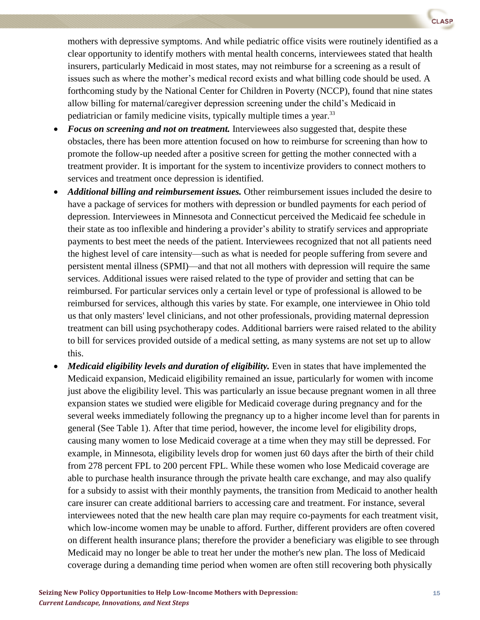mothers with depressive symptoms. And while pediatric office visits were routinely identified as a clear opportunity to identify mothers with mental health concerns, interviewees stated that health insurers, particularly Medicaid in most states, may not reimburse for a screening as a result of issues such as where the mother's medical record exists and what billing code should be used. A forthcoming study by the National Center for Children in Poverty (NCCP), found that nine states allow billing for maternal/caregiver depression screening under the child's Medicaid in pediatrician or family medicine visits, typically multiple times a year.<sup>33</sup>

- *Focus on screening and not on treatment.* Interviewees also suggested that, despite these obstacles, there has been more attention focused on how to reimburse for screening than how to promote the follow-up needed after a positive screen for getting the mother connected with a treatment provider. It is important for the system to incentivize providers to connect mothers to services and treatment once depression is identified.
- *Additional billing and reimbursement issues.* Other reimbursement issues included the desire to have a package of services for mothers with depression or bundled payments for each period of depression. Interviewees in Minnesota and Connecticut perceived the Medicaid fee schedule in their state as too inflexible and hindering a provider's ability to stratify services and appropriate payments to best meet the needs of the patient. Interviewees recognized that not all patients need the highest level of care intensity—such as what is needed for people suffering from severe and persistent mental illness (SPMI)—and that not all mothers with depression will require the same services. Additional issues were raised related to the type of provider and setting that can be reimbursed. For particular services only a certain level or type of professional is allowed to be reimbursed for services, although this varies by state. For example, one interviewee in Ohio told us that only masters' level clinicians, and not other professionals, providing maternal depression treatment can bill using psychotherapy codes. Additional barriers were raised related to the ability to bill for services provided outside of a medical setting, as many systems are not set up to allow this.
- *Medicaid eligibility levels and duration of eligibility.* Even in states that have implemented the Medicaid expansion, Medicaid eligibility remained an issue, particularly for women with income just above the eligibility level. This was particularly an issue because pregnant women in all three expansion states we studied were eligible for Medicaid coverage during pregnancy and for the several weeks immediately following the pregnancy up to a higher income level than for parents in general (See Table 1). After that time period, however, the income level for eligibility drops, causing many women to lose Medicaid coverage at a time when they may still be depressed. For example, in Minnesota, eligibility levels drop for women just 60 days after the birth of their child from 278 percent FPL to 200 percent FPL. While these women who lose Medicaid coverage are able to purchase health insurance through the private health care exchange, and may also qualify for a subsidy to assist with their monthly payments, the transition from Medicaid to another health care insurer can create additional barriers to accessing care and treatment. For instance, several interviewees noted that the new health care plan may require co-payments for each treatment visit, which low-income women may be unable to afford. Further, different providers are often covered on different health insurance plans; therefore the provider a beneficiary was eligible to see through Medicaid may no longer be able to treat her under the mother's new plan. The loss of Medicaid coverage during a demanding time period when women are often still recovering both physically

CLASP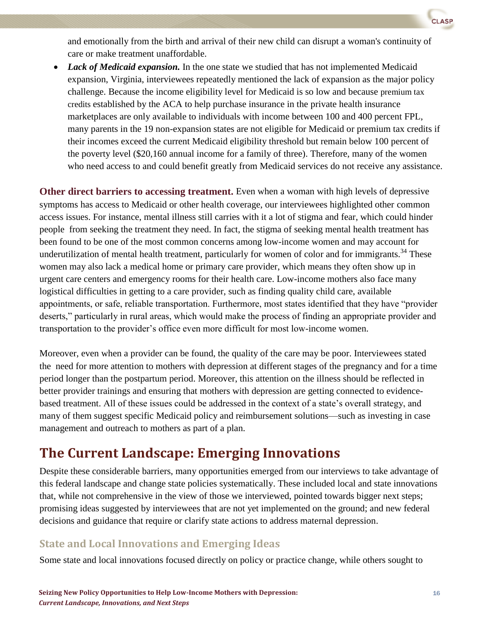and emotionally from the birth and arrival of their new child can disrupt a woman's continuity of care or make treatment unaffordable.

 *Lack of Medicaid expansion.* In the one state we studied that has not implemented Medicaid expansion, Virginia, interviewees repeatedly mentioned the lack of expansion as the major policy challenge. Because the income eligibility level for Medicaid is so low and because premium tax credits established by the ACA to help purchase insurance in the private health insurance marketplaces are only available to individuals with income between 100 and 400 percent FPL, many parents in the 19 non-expansion states are not eligible for Medicaid or premium tax credits if their incomes exceed the current Medicaid eligibility threshold but remain below 100 percent of the poverty level (\$20,160 annual income for a family of three). Therefore, many of the women who need access to and could benefit greatly from Medicaid services do not receive any assistance.

**Other direct barriers to accessing treatment.** Even when a woman with high levels of depressive symptoms has access to Medicaid or other health coverage, our interviewees highlighted other common access issues. For instance, mental illness still carries with it a lot of stigma and fear, which could hinder people from seeking the treatment they need. In fact, the stigma of seeking mental health treatment has been found to be one of the most common concerns among low-income women and may account for underutilization of mental health treatment, particularly for women of color and for immigrants.<sup>34</sup> These women may also lack a medical home or primary care provider, which means they often show up in urgent care centers and emergency rooms for their health care. Low-income mothers also face many logistical difficulties in getting to a care provider, such as finding quality child care, available appointments, or safe, reliable transportation. Furthermore, most states identified that they have "provider deserts," particularly in rural areas, which would make the process of finding an appropriate provider and transportation to the provider's office even more difficult for most low-income women.

Moreover, even when a provider can be found, the quality of the care may be poor. Interviewees stated the need for more attention to mothers with depression at different stages of the pregnancy and for a time period longer than the postpartum period. Moreover, this attention on the illness should be reflected in better provider trainings and ensuring that mothers with depression are getting connected to evidencebased treatment. All of these issues could be addressed in the context of a state's overall strategy, and many of them suggest specific Medicaid policy and reimbursement solutions—such as investing in case management and outreach to mothers as part of a plan.

## **The Current Landscape: Emerging Innovations**

Despite these considerable barriers, many opportunities emerged from our interviews to take advantage of this federal landscape and change state policies systematically. These included local and state innovations that, while not comprehensive in the view of those we interviewed, pointed towards bigger next steps; promising ideas suggested by interviewees that are not yet implemented on the ground; and new federal decisions and guidance that require or clarify state actions to address maternal depression.

#### **State and Local Innovations and Emerging Ideas**

Some state and local innovations focused directly on policy or practice change, while others sought to

 $CIASP$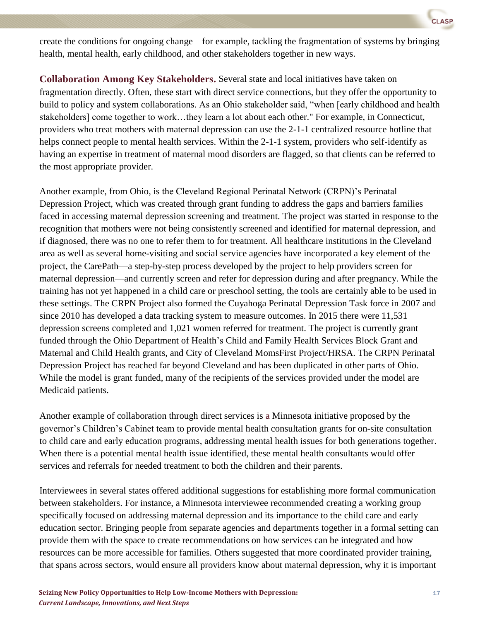

create the conditions for ongoing change—for example, tackling the fragmentation of systems by bringing health, mental health, early childhood, and other stakeholders together in new ways.

**Collaboration Among Key Stakeholders.** Several state and local initiatives have taken on fragmentation directly. Often, these start with direct service connections, but they offer the opportunity to build to policy and system collaborations. As an Ohio stakeholder said, "when [early childhood and health stakeholders] come together to work…they learn a lot about each other." For example, in Connecticut, providers who treat mothers with maternal depression can use the 2-1-1 centralized resource hotline that helps connect people to mental health services. Within the 2-1-1 system, providers who self-identify as having an expertise in treatment of maternal mood disorders are flagged, so that clients can be referred to the most appropriate provider.

Another example, from Ohio, is the Cleveland Regional Perinatal Network (CRPN)'s Perinatal Depression Project, which was created through grant funding to address the gaps and barriers families faced in accessing maternal depression screening and treatment. The project was started in response to the recognition that mothers were not being consistently screened and identified for maternal depression, and if diagnosed, there was no one to refer them to for treatment. All healthcare institutions in the Cleveland area as well as several home-visiting and social service agencies have incorporated a key element of the project, the CarePath—a step-by-step process developed by the project to help providers screen for maternal depression—and currently screen and refer for depression during and after pregnancy. While the training has not yet happened in a child care or preschool setting, the tools are certainly able to be used in these settings. The CRPN Project also formed the Cuyahoga Perinatal Depression Task force in 2007 and since 2010 has developed a data tracking system to measure outcomes. In 2015 there were 11,531 depression screens completed and 1,021 women referred for treatment. The project is currently grant funded through the Ohio Department of Health's Child and Family Health Services Block Grant and Maternal and Child Health grants, and City of Cleveland MomsFirst Project/HRSA. The CRPN Perinatal Depression Project has reached far beyond Cleveland and has been duplicated in other parts of Ohio. While the model is grant funded, many of the recipients of the services provided under the model are Medicaid patients.

Another example of collaboration through direct services is a Minnesota initiative proposed by the governor's Children's Cabinet team to provide mental health consultation grants for on-site consultation to child care and early education programs, addressing mental health issues for both generations together. When there is a potential mental health issue identified, these mental health consultants would offer services and referrals for needed treatment to both the children and their parents.

Interviewees in several states offered additional suggestions for establishing more formal communication between stakeholders. For instance, a Minnesota interviewee recommended creating a working group specifically focused on addressing maternal depression and its importance to the child care and early education sector. Bringing people from separate agencies and departments together in a formal setting can provide them with the space to create recommendations on how services can be integrated and how resources can be more accessible for families. Others suggested that more coordinated provider training, that spans across sectors, would ensure all providers know about maternal depression, why it is important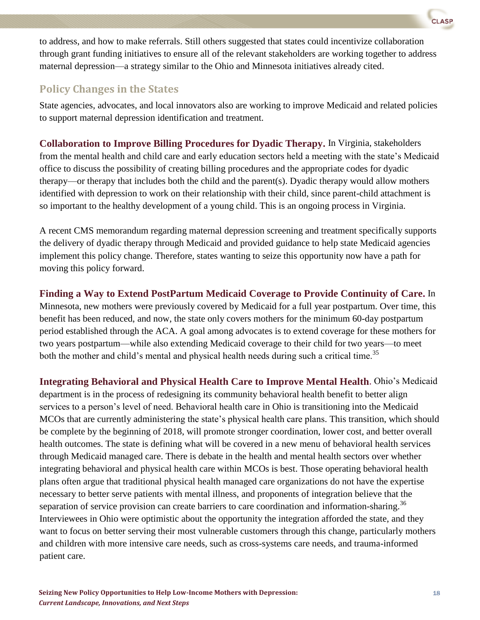to address, and how to make referrals. Still others suggested that states could incentivize collaboration through grant funding initiatives to ensure all of the relevant stakeholders are working together to address maternal depression—a strategy similar to the Ohio and Minnesota initiatives already cited.

#### **Policy Changes in the States**

State agencies, advocates, and local innovators also are working to improve Medicaid and related policies to support maternal depression identification and treatment.

**Collaboration to Improve Billing Procedures for Dyadic Therapy.** In Virginia, stakeholders from the mental health and child care and early education sectors held a meeting with the state's Medicaid office to discuss the possibility of creating billing procedures and the appropriate codes for dyadic therapy—or therapy that includes both the child and the parent(s). Dyadic therapy would allow mothers identified with depression to work on their relationship with their child, since parent-child attachment is so important to the healthy development of a young child. This is an ongoing process in Virginia.

A recent CMS memorandum regarding maternal depression screening and treatment specifically supports the delivery of dyadic therapy through Medicaid and provided guidance to help state Medicaid agencies implement this policy change. Therefore, states wanting to seize this opportunity now have a path for moving this policy forward.

**Finding a Way to Extend PostPartum Medicaid Coverage to Provide Continuity of Care.** In Minnesota, new mothers were previously covered by Medicaid for a full year postpartum. Over time, this benefit has been reduced, and now, the state only covers mothers for the minimum 60-day postpartum period established through the ACA. A goal among advocates is to extend coverage for these mothers for two years postpartum—while also extending Medicaid coverage to their child for two years—to meet both the mother and child's mental and physical health needs during such a critical time.<sup>35</sup>

**Integrating Behavioral and Physical Health Care to Improve Mental Health**. Ohio's Medicaid department is in the process of redesigning its community behavioral health benefit to better align services to a person's level of need. Behavioral health care in Ohio is transitioning into the Medicaid MCOs that are currently administering the state's physical health care plans. This transition, which should be complete by the beginning of 2018, will promote stronger coordination, lower cost, and better overall health outcomes. The state is defining what will be covered in a new menu of behavioral health services through Medicaid managed care. There is debate in the health and mental health sectors over whether integrating behavioral and physical health care within MCOs is best. Those operating behavioral health plans often argue that traditional physical health managed care organizations do not have the expertise necessary to better serve patients with mental illness, and proponents of integration believe that the separation of service provision can create barriers to care coordination and information-sharing.<sup>36</sup> Interviewees in Ohio were optimistic about the opportunity the integration afforded the state, and they want to focus on better serving their most vulnerable customers through this change, particularly mothers and children with more intensive care needs, such as cross-systems care needs, and trauma-informed patient care.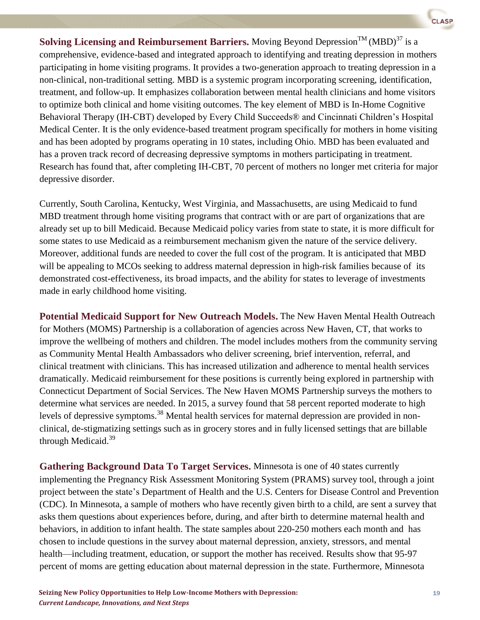

**Solving Licensing and Reimbursement Barriers.** Moving Beyond Depression<sup>TM</sup> (MBD)<sup>37</sup> is a comprehensive, evidence-based and integrated approach to identifying and treating depression in mothers participating in home visiting programs. It provides a two-generation approach to treating depression in a non-clinical, non-traditional setting. MBD is a systemic program incorporating screening, identification, treatment, and follow-up. It emphasizes collaboration between mental health clinicians and home visitors to optimize both clinical and home visiting outcomes. The key element of MBD is In-Home Cognitive Behavioral Therapy (IH-CBT) developed by Every Child Succeeds® and Cincinnati Children's Hospital Medical Center. It is the only evidence-based treatment program specifically for mothers in home visiting and has been adopted by programs operating in 10 states, including Ohio. MBD has been evaluated and has a proven track record of decreasing depressive symptoms in mothers participating in treatment. Research has found that, after completing IH-CBT, 70 percent of mothers no longer met criteria for major depressive disorder.

Currently, South Carolina, Kentucky, West Virginia, and Massachusetts, are using Medicaid to fund MBD treatment through home visiting programs that contract with or are part of organizations that are already set up to bill Medicaid. Because Medicaid policy varies from state to state, it is more difficult for some states to use Medicaid as a reimbursement mechanism given the nature of the service delivery. Moreover, additional funds are needed to cover the full cost of the program. It is anticipated that MBD will be appealing to MCOs seeking to address maternal depression in high-risk families because of its demonstrated cost-effectiveness, its broad impacts, and the ability for states to leverage of investments made in early childhood home visiting.

**Potential Medicaid Support for New Outreach Models.** The New Haven Mental Health Outreach for Mothers (MOMS) Partnership is a collaboration of agencies across New Haven, CT, that works to improve the wellbeing of mothers and children. The model includes mothers from the community serving as Community Mental Health Ambassadors who deliver screening, brief intervention, referral, and clinical treatment with clinicians. This has increased utilization and adherence to mental health services dramatically. Medicaid reimbursement for these positions is currently being explored in partnership with Connecticut Department of Social Services. The New Haven MOMS Partnership surveys the mothers to determine what services are needed. In 2015, a survey found that 58 percent reported moderate to high levels of depressive symptoms.<sup>38</sup> Mental health services for maternal depression are provided in nonclinical, de-stigmatizing settings such as in grocery stores and in fully licensed settings that are billable through Medicaid.<sup>39</sup>

**Gathering Background Data To Target Services.** Minnesota is one of 40 states currently implementing the Pregnancy Risk Assessment Monitoring System (PRAMS) survey tool, through a joint project between the state's Department of Health and the U.S. Centers for Disease Control and Prevention (CDC). In Minnesota, a sample of mothers who have recently given birth to a child, are sent a survey that asks them questions about experiences before, during, and after birth to determine maternal health and behaviors, in addition to infant health. The state samples about 220-250 mothers each month and has chosen to include questions in the survey about maternal depression, anxiety, stressors, and mental health—including treatment, education, or support the mother has received. Results show that 95-97 percent of moms are getting education about maternal depression in the state. Furthermore, Minnesota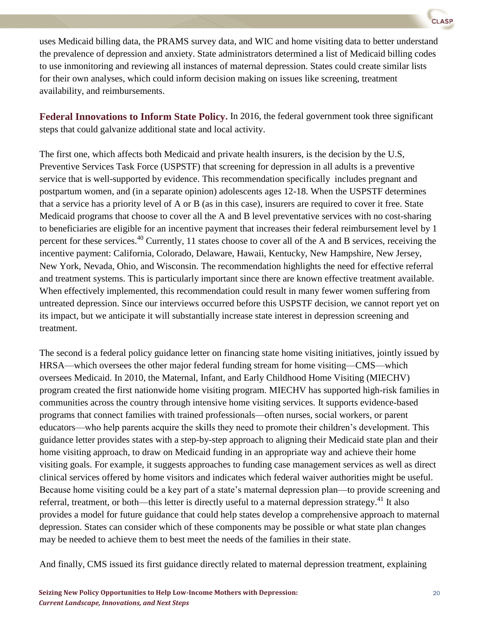uses Medicaid billing data, the PRAMS survey data, and WIC and home visiting data to better understand the prevalence of depression and anxiety. State administrators determined a list of Medicaid billing codes to use inmonitoring and reviewing all instances of maternal depression. States could create similar lists for their own analyses, which could inform decision making on issues like screening, treatment availability, and reimbursements.

**Federal Innovations to Inform State Policy.** In 2016, the federal government took three significant steps that could galvanize additional state and local activity.

The first one, which affects both Medicaid and private health insurers, is the decision by the U.S, Preventive Services Task Force (USPSTF) that screening for depression in all adults is a preventive service that is well-supported by evidence. This recommendation specifically includes pregnant and postpartum women, and (in a separate opinion) adolescents ages 12-18. When the USPSTF determines that a service has a priority level of A or B (as in this case), insurers are required to cover it free. State Medicaid programs that choose to cover all the A and B level preventative services with no cost-sharing to beneficiaries are eligible for an incentive payment that increases their federal reimbursement level by 1 percent for these services.<sup>40</sup> Currently, 11 states choose to cover all of the A and B services, receiving the incentive payment: California, Colorado, Delaware, Hawaii, Kentucky, New Hampshire, New Jersey, New York, Nevada, Ohio, and Wisconsin. The recommendation highlights the need for effective referral and treatment systems. This is particularly important since there are known effective treatment available. When effectively implemented, this recommendation could result in many fewer women suffering from untreated depression. Since our interviews occurred before this USPSTF decision, we cannot report yet on its impact, but we anticipate it will substantially increase state interest in depression screening and treatment.

The second is a federal policy guidance letter on financing state home visiting initiatives, jointly issued by HRSA—which oversees the other major federal funding stream for home visiting—CMS—which oversees Medicaid. In 2010, the Maternal, Infant, and Early Childhood Home Visiting (MIECHV) program created the first nationwide home visiting program. MIECHV has supported high-risk families in communities across the country through intensive home visiting services. It supports evidence-based programs that connect families with trained professionals—often nurses, social workers, or parent educators—who help parents acquire the skills they need to promote their children's development. This guidance letter provides states with a step-by-step approach to aligning their Medicaid state plan and their home visiting approach, to draw on Medicaid funding in an appropriate way and achieve their home visiting goals. For example, it suggests approaches to funding case management services as well as direct clinical services offered by home visitors and indicates which federal waiver authorities might be useful. Because home visiting could be a key part of a state's maternal depression plan—to provide screening and referral, treatment, or both—this letter is directly useful to a maternal depression strategy.<sup>41</sup> It also provides a model for future guidance that could help states develop a comprehensive approach to maternal depression. States can consider which of these components may be possible or what state plan changes may be needed to achieve them to best meet the needs of the families in their state.

And finally, CMS issued its first guidance directly related to maternal depression treatment, explaining

**ASP**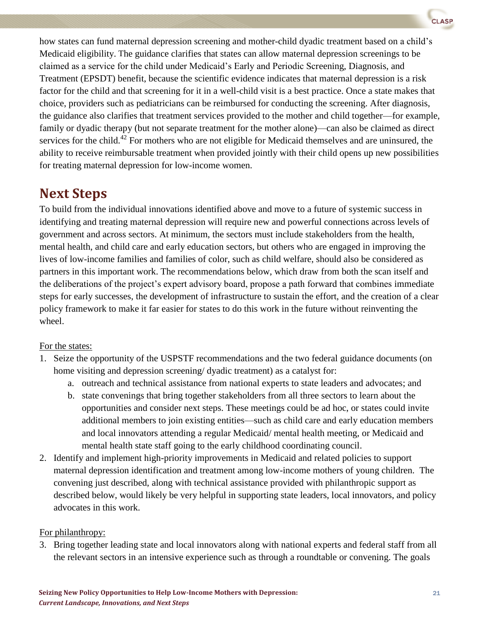how states can fund maternal depression screening and mother-child dyadic treatment based on a child's Medicaid eligibility. The guidance clarifies that states can allow maternal depression screenings to be claimed as a service for the child under Medicaid's Early and Periodic Screening, Diagnosis, and Treatment (EPSDT) benefit, because the scientific evidence indicates that maternal depression is a risk factor for the child and that screening for it in a well-child visit is a best practice. Once a state makes that choice, providers such as pediatricians can be reimbursed for conducting the screening. After diagnosis, the guidance also clarifies that treatment services provided to the mother and child together—for example, family or dyadic therapy (but not separate treatment for the mother alone)—can also be claimed as direct services for the child.<sup>42</sup> For mothers who are not eligible for Medicaid themselves and are uninsured, the ability to receive reimbursable treatment when provided jointly with their child opens up new possibilities for treating maternal depression for low-income women.

## **Next Steps**

To build from the individual innovations identified above and move to a future of systemic success in identifying and treating maternal depression will require new and powerful connections across levels of government and across sectors. At minimum, the sectors must include stakeholders from the health, mental health, and child care and early education sectors, but others who are engaged in improving the lives of low-income families and families of color, such as child welfare, should also be considered as partners in this important work. The recommendations below, which draw from both the scan itself and the deliberations of the project's expert advisory board, propose a path forward that combines immediate steps for early successes, the development of infrastructure to sustain the effort, and the creation of a clear policy framework to make it far easier for states to do this work in the future without reinventing the wheel.

#### For the states:

- 1. Seize the opportunity of the USPSTF recommendations and the two federal guidance documents (on home visiting and depression screening/ dyadic treatment) as a catalyst for:
	- a. outreach and technical assistance from national experts to state leaders and advocates; and
	- b. state convenings that bring together stakeholders from all three sectors to learn about the opportunities and consider next steps. These meetings could be ad hoc, or states could invite additional members to join existing entities—such as child care and early education members and local innovators attending a regular Medicaid/ mental health meeting, or Medicaid and mental health state staff going to the early childhood coordinating council.
- 2. Identify and implement high-priority improvements in Medicaid and related policies to support maternal depression identification and treatment among low-income mothers of young children. The convening just described, along with technical assistance provided with philanthropic support as described below, would likely be very helpful in supporting state leaders, local innovators, and policy advocates in this work.

#### For philanthropy:

3. Bring together leading state and local innovators along with national experts and federal staff from all the relevant sectors in an intensive experience such as through a roundtable or convening. The goals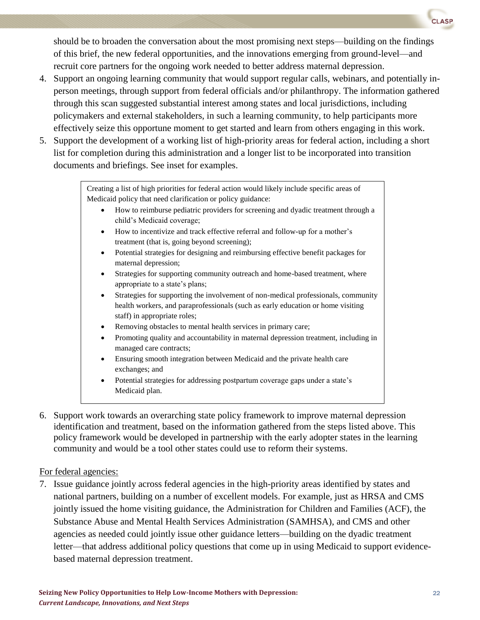should be to broaden the conversation about the most promising next steps—building on the findings of this brief, the new federal opportunities, and the innovations emerging from ground-level—and recruit core partners for the ongoing work needed to better address maternal depression.

- 4. Support an ongoing learning community that would support regular calls, webinars, and potentially inperson meetings, through support from federal officials and/or philanthropy. The information gathered through this scan suggested substantial interest among states and local jurisdictions, including policymakers and external stakeholders, in such a learning community, to help participants more effectively seize this opportune moment to get started and learn from others engaging in this work.
- 5. Support the development of a working list of high-priority areas for federal action, including a short list for completion during this administration and a longer list to be incorporated into transition documents and briefings. See inset for examples.

Creating a list of high priorities for federal action would likely include specific areas of Medicaid policy that need clarification or policy guidance:

- How to reimburse pediatric providers for screening and dyadic treatment through a child's Medicaid coverage;
- How to incentivize and track effective referral and follow-up for a mother's treatment (that is, going beyond screening);
- Potential strategies for designing and reimbursing effective benefit packages for maternal depression;
- Strategies for supporting community outreach and home-based treatment, where appropriate to a state's plans;
- Strategies for supporting the involvement of non-medical professionals, community health workers, and paraprofessionals (such as early education or home visiting staff) in appropriate roles;
- Removing obstacles to mental health services in primary care;
- Promoting quality and accountability in maternal depression treatment, including in managed care contracts;
- Ensuring smooth integration between Medicaid and the private health care exchanges; and
- Potential strategies for addressing postpartum coverage gaps under a state's Medicaid plan.
- 6. Support work towards an overarching state policy framework to improve maternal depression identification and treatment, based on the information gathered from the steps listed above. This policy framework would be developed in partnership with the early adopter states in the learning community and would be a tool other states could use to reform their systems.

#### For federal agencies:

7. Issue guidance jointly across federal agencies in the high-priority areas identified by states and national partners, building on a number of excellent models. For example, just as HRSA and CMS jointly issued the home visiting guidance, the Administration for Children and Families (ACF), the Substance Abuse and Mental Health Services Administration (SAMHSA), and CMS and other agencies as needed could jointly issue other guidance letters—building on the dyadic treatment letter—that address additional policy questions that come up in using Medicaid to support evidencebased maternal depression treatment.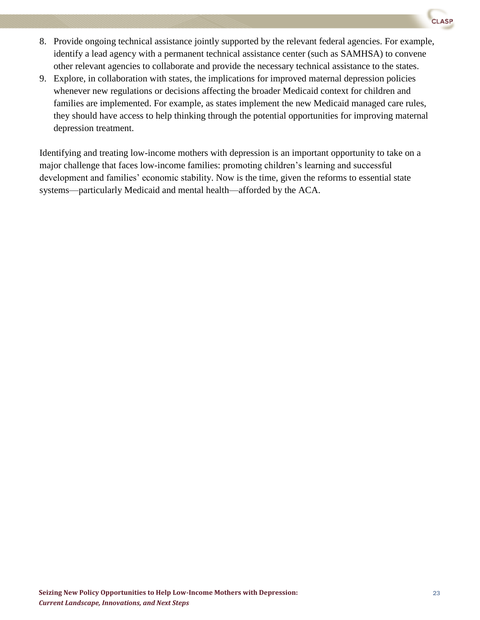- 8. Provide ongoing technical assistance jointly supported by the relevant federal agencies. For example, identify a lead agency with a permanent technical assistance center (such as SAMHSA) to convene other relevant agencies to collaborate and provide the necessary technical assistance to the states.
- 9. Explore, in collaboration with states, the implications for improved maternal depression policies whenever new regulations or decisions affecting the broader Medicaid context for children and families are implemented. For example, as states implement the new Medicaid managed care rules, they should have access to help thinking through the potential opportunities for improving maternal depression treatment.

Identifying and treating low-income mothers with depression is an important opportunity to take on a major challenge that faces low-income families: promoting children's learning and successful development and families' economic stability. Now is the time, given the reforms to essential state systems—particularly Medicaid and mental health—afforded by the ACA.

CLASP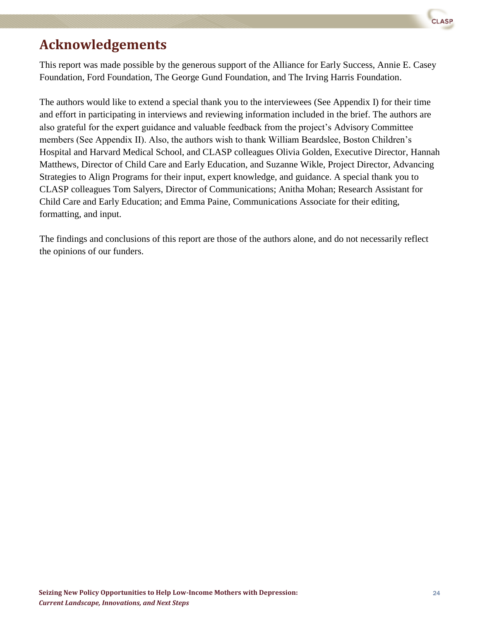

## **Acknowledgements**

This report was made possible by the generous support of the Alliance for Early Success, Annie E. Casey Foundation, Ford Foundation, The George Gund Foundation, and The Irving Harris Foundation.

The authors would like to extend a special thank you to the interviewees (See Appendix I) for their time and effort in participating in interviews and reviewing information included in the brief. The authors are also grateful for the expert guidance and valuable feedback from the project's Advisory Committee members (See Appendix II). Also, the authors wish to thank William Beardslee, Boston Children's Hospital and Harvard Medical School, and CLASP colleagues Olivia Golden, Executive Director, Hannah Matthews, Director of Child Care and Early Education, and Suzanne Wikle, Project Director, Advancing Strategies to Align Programs for their input, expert knowledge, and guidance. A special thank you to CLASP colleagues Tom Salyers, Director of Communications; Anitha Mohan; Research Assistant for Child Care and Early Education; and Emma Paine, Communications Associate for their editing, formatting, and input.

The findings and conclusions of this report are those of the authors alone, and do not necessarily reflect the opinions of our funders.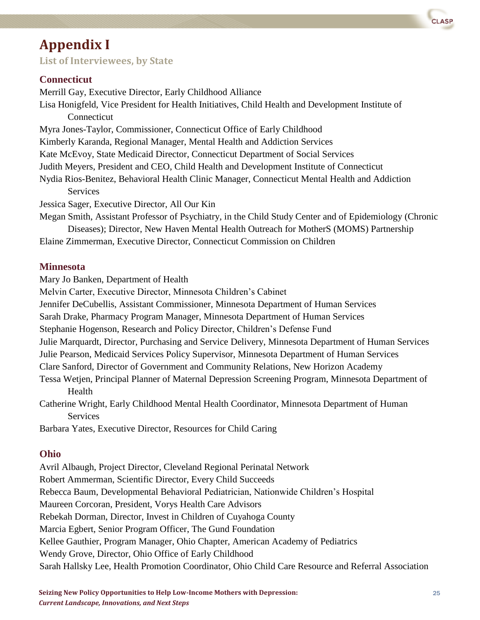## **Appendix I**

#### **List of Interviewees, by State**

#### **Connecticut**

Merrill Gay, Executive Director, Early Childhood Alliance Lisa Honigfeld, Vice President for Health Initiatives, Child Health and Development Institute of Connecticut Myra Jones-Taylor, Commissioner, Connecticut Office of Early Childhood Kimberly Karanda, Regional Manager, Mental Health and Addiction Services Kate McEvoy, State Medicaid Director, Connecticut Department of Social Services Judith Meyers, President and CEO, Child Health and Development Institute of Connecticut Nydia Rios-Benitez, Behavioral Health Clinic Manager, Connecticut Mental Health and Addiction Services Jessica Sager, Executive Director, All Our Kin Megan Smith, Assistant Professor of Psychiatry, in the Child Study Center and of Epidemiology (Chronic Diseases); Director, New Haven Mental Health Outreach for MotherS (MOMS) Partnership

Elaine Zimmerman, Executive Director, Connecticut Commission on Children

#### **Minnesota**

Mary Jo Banken, Department of Health

Melvin Carter, Executive Director, Minnesota Children's Cabinet

Jennifer DeCubellis, Assistant Commissioner, Minnesota Department of Human Services

Sarah Drake, Pharmacy Program Manager, Minnesota Department of Human Services

Stephanie Hogenson, Research and Policy Director, Children's Defense Fund

Julie Marquardt, Director, Purchasing and Service Delivery, Minnesota Department of Human Services

Julie Pearson, Medicaid Services Policy Supervisor, Minnesota Department of Human Services

Clare Sanford, Director of Government and Community Relations, New Horizon Academy

Tessa Wetjen, Principal Planner of Maternal Depression Screening Program, Minnesota Department of Health

Catherine Wright, Early Childhood Mental Health Coordinator, Minnesota Department of Human **Services** 

Barbara Yates, Executive Director, Resources for Child Caring

#### **Ohio**

Avril Albaugh, Project Director, Cleveland Regional Perinatal Network Robert Ammerman, Scientific Director, Every Child Succeeds Rebecca Baum, Developmental Behavioral Pediatrician, Nationwide Children's Hospital Maureen Corcoran, President, Vorys Health Care Advisors Rebekah Dorman, Director, Invest in Children of Cuyahoga County Marcia Egbert, Senior Program Officer, The Gund Foundation Kellee Gauthier, Program Manager, Ohio Chapter, American Academy of Pediatrics Wendy Grove, Director, Ohio Office of Early Childhood Sarah Hallsky Lee, Health Promotion Coordinator, Ohio Child Care Resource and Referral Association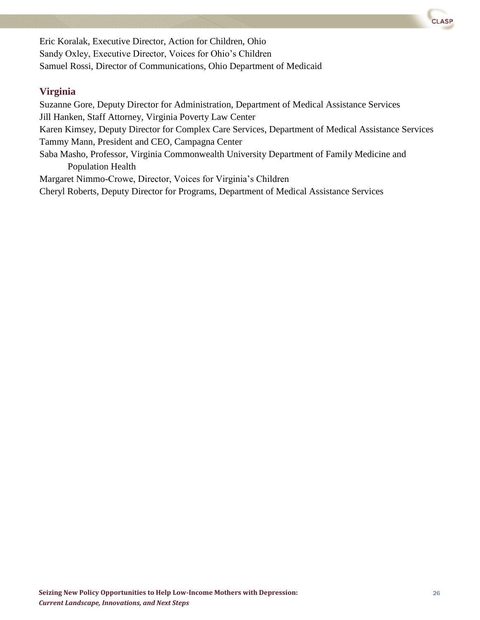

Eric Koralak, Executive Director, Action for Children, Ohio Sandy Oxley, Executive Director, Voices for Ohio's Children Samuel Rossi, Director of Communications, Ohio Department of Medicaid

#### **Virginia**

Suzanne Gore, Deputy Director for Administration, Department of Medical Assistance Services Jill Hanken, Staff Attorney, Virginia Poverty Law Center Karen Kimsey, Deputy Director for Complex Care Services, Department of Medical Assistance Services Tammy Mann, President and CEO, Campagna Center Saba Masho, Professor, Virginia Commonwealth University Department of Family Medicine and Population Health Margaret Nimmo-Crowe, Director, Voices for Virginia's Children Cheryl Roberts, Deputy Director for Programs, Department of Medical Assistance Services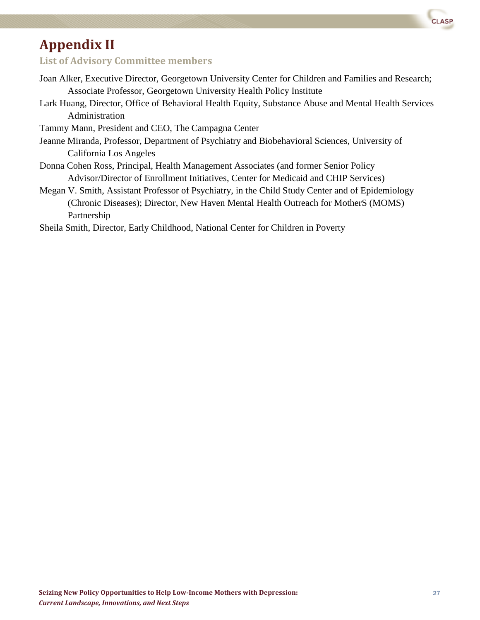

## **Appendix II**

#### **List of Advisory Committee members**

- Joan Alker, Executive Director, Georgetown University Center for Children and Families and Research; Associate Professor, Georgetown University Health Policy Institute
- Lark Huang, Director, Office of Behavioral Health Equity, Substance Abuse and Mental Health Services Administration
- Tammy Mann, President and CEO, The Campagna Center
- Jeanne Miranda, Professor, Department of Psychiatry and Biobehavioral Sciences, University of California Los Angeles
- Donna Cohen Ross, Principal, Health Management Associates (and former Senior Policy Advisor/Director of Enrollment Initiatives, Center for Medicaid and CHIP Services)
- Megan V. Smith, Assistant Professor of Psychiatry, in the Child Study Center and of Epidemiology (Chronic Diseases); Director, New Haven Mental Health Outreach for MotherS (MOMS) Partnership

Sheila Smith, Director, Early Childhood, National Center for Children in Poverty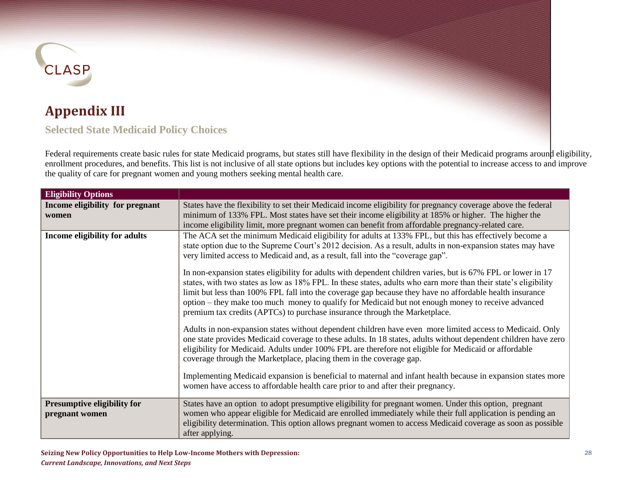# **CLASP**

## **Appendix III**

### **Selected State Medicaid Policy Choices**

Federal requirements create basic rules for state Medicaid programs, but states still have flexibility in the design of their Medicaid programs around eligibility, enrollment procedures, and benefits. This list is not inclusive of all state options but includes key options with the potential to increase access to and improve the quality of care for pregnant women and young mothers seeking mental health care.

| <b>Eligibility Options</b>                           |                                                                                                                                                                                                                                                                                                                                                                                                                                                                                                                                             |
|------------------------------------------------------|---------------------------------------------------------------------------------------------------------------------------------------------------------------------------------------------------------------------------------------------------------------------------------------------------------------------------------------------------------------------------------------------------------------------------------------------------------------------------------------------------------------------------------------------|
| Income eligibility for pregnant                      | States have the flexibility to set their Medicaid income eligibility for pregnancy coverage above the federal                                                                                                                                                                                                                                                                                                                                                                                                                               |
| women                                                | minimum of 133% FPL. Most states have set their income eligibility at 185% or higher. The higher the                                                                                                                                                                                                                                                                                                                                                                                                                                        |
|                                                      | income eligibility limit, more pregnant women can benefit from affordable pregnancy-related care.                                                                                                                                                                                                                                                                                                                                                                                                                                           |
| Income eligibility for adults                        | The ACA set the minimum Medicaid eligibility for adults at 133% FPL, but this has effectively become a<br>state option due to the Supreme Court's 2012 decision. As a result, adults in non-expansion states may have<br>very limited access to Medicaid and, as a result, fall into the "coverage gap".<br>In non-expansion states eligibility for adults with dependent children varies, but is 67% FPL or lower in 17<br>states, with two states as low as 18% FPL. In these states, adults who earn more than their state's eligibility |
|                                                      | limit but less than 100% FPL fall into the coverage gap because they have no affordable health insurance<br>option – they make too much money to qualify for Medicaid but not enough money to receive advanced<br>premium tax credits (APTCs) to purchase insurance through the Marketplace.                                                                                                                                                                                                                                                |
|                                                      | Adults in non-expansion states without dependent children have even more limited access to Medicaid. Only<br>one state provides Medicaid coverage to these adults. In 18 states, adults without dependent children have zero<br>eligibility for Medicaid. Adults under 100% FPL are therefore not eligible for Medicaid or affordable<br>coverage through the Marketplace, placing them in the coverage gap.                                                                                                                                |
|                                                      | Implementing Medicaid expansion is beneficial to maternal and infant health because in expansion states more<br>women have access to affordable health care prior to and after their pregnancy.                                                                                                                                                                                                                                                                                                                                             |
| <b>Presumptive eligibility for</b><br>pregnant women | States have an option to adopt presumptive eligibility for pregnant women. Under this option, pregnant<br>women who appear eligible for Medicaid are enrolled immediately while their full application is pending an<br>eligibility determination. This option allows pregnant women to access Medicaid coverage as soon as possible<br>after applying.                                                                                                                                                                                     |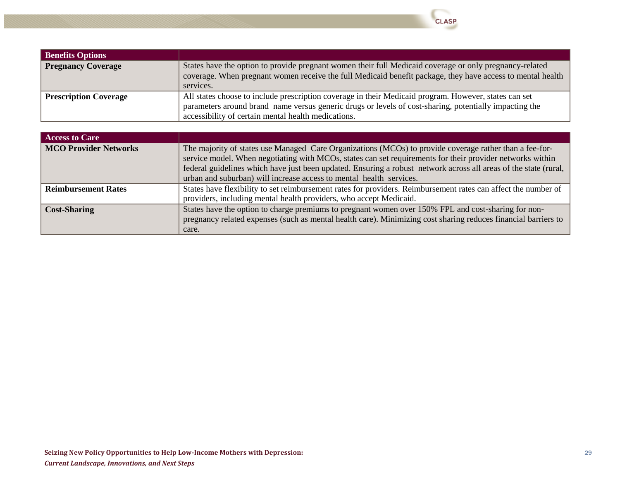

| <b>Benefits Options</b>      |                                                                                                            |  |
|------------------------------|------------------------------------------------------------------------------------------------------------|--|
| <b>Pregnancy Coverage</b>    | States have the option to provide pregnant women their full Medicaid coverage or only pregnancy-related    |  |
|                              | coverage. When pregnant women receive the full Medicaid benefit package, they have access to mental health |  |
|                              | services.                                                                                                  |  |
| <b>Prescription Coverage</b> | All states choose to include prescription coverage in their Medicaid program. However, states can set      |  |
|                              | parameters around brand name versus generic drugs or levels of cost-sharing, potentially impacting the     |  |
|                              | accessibility of certain mental health medications.                                                        |  |

| <b>Access to Care</b>        |                                                                                                                                                                                                                                                                                                                                                                                                                 |
|------------------------------|-----------------------------------------------------------------------------------------------------------------------------------------------------------------------------------------------------------------------------------------------------------------------------------------------------------------------------------------------------------------------------------------------------------------|
| <b>MCO Provider Networks</b> | The majority of states use Managed Care Organizations (MCOs) to provide coverage rather than a fee-for-<br>service model. When negotiating with MCOs, states can set requirements for their provider networks within<br>federal guidelines which have just been updated. Ensuring a robust network across all areas of the state (rural,<br>urban and suburban) will increase access to mental health services. |
| <b>Reimbursement Rates</b>   | States have flexibility to set reimbursement rates for providers. Reimbursement rates can affect the number of                                                                                                                                                                                                                                                                                                  |
|                              | providers, including mental health providers, who accept Medicaid.                                                                                                                                                                                                                                                                                                                                              |
| <b>Cost-Sharing</b>          | States have the option to charge premiums to pregnant women over 150% FPL and cost-sharing for non-<br>pregnancy related expenses (such as mental health care). Minimizing cost sharing reduces financial barriers to<br>care.                                                                                                                                                                                  |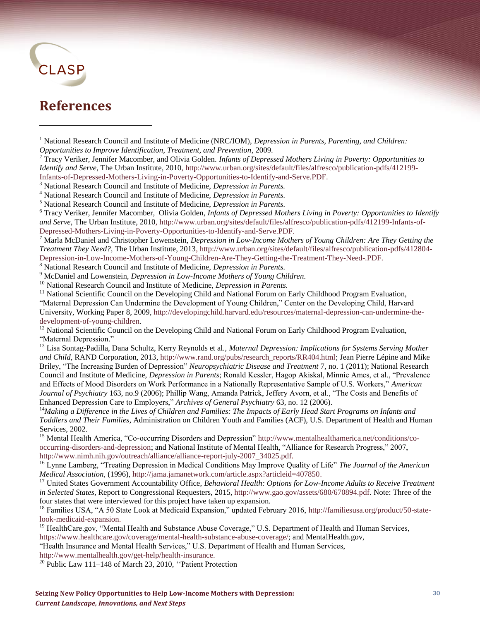## CLASP

 $\overline{a}$ 

## **References**

<sup>3</sup> National Research Council and Institute of Medicine, *Depression in Parents.*

<sup>4</sup> National Research Council and Institute of Medicine, *Depression in Parents.*

<sup>5</sup> National Research Council and Institute of Medicine, *Depression in Parents.*

<sup>6</sup> Tracy Veriker, Jennifer Macomber, Olivia Golden, *Infants of Depressed Mothers Living in Poverty: Opportunities to Identify and Serve*, The Urban Institute, 2010, http://www.urban.org/sites/default/files/alfresco/publication-pdfs/412199-Infants-of-Depressed-Mothers-Living-in-Poverty-Opportunities-to-Identify-and-Serve.PDF.

<sup>7</sup> Marla McDaniel and Christopher Lowenstein, *Depression in Low-Income Mothers of Young Children: Are They Getting the Treatment They Need?,* The Urban Institute, 2013, http://www.urban.org/sites/default/files/alfresco/publication-pdfs/412804- Depression-in-Low-Income-Mothers-of-Young-Children-Are-They-Getting-the-Treatment-They-Need-.PDF.

<sup>8</sup> National Research Council and Institute of Medicine, *Depression in Parents.*

<sup>9</sup> McDaniel and Lowenstein, *Depression in Low-Income Mothers of Young Children.*

<sup>10</sup> National Research Council and Institute of Medicine, *Depression in Parents.*

<sup>11</sup> National Scientific Council on the Developing Child and National Forum on Early Childhood Program Evaluation,

"Maternal Depression Can Undermine the Development of Young Children," Center on the Developing Child, Harvard University, Working Paper 8, 2009, [http://developingchild.harvard.edu/resources/maternal-depression-can-undermine-the](http://developingchild.harvard.edu/resources/maternal-depression-can-undermine-the-development-of-young-children/)[development-of-young-children.](http://developingchild.harvard.edu/resources/maternal-depression-can-undermine-the-development-of-young-children/)

 $12$  National Scientific Council on the Developing Child and National Forum on Early Childhood Program Evaluation, "Maternal Depression."

<sup>13</sup> Lisa Sontag-Padilla, Dana Schultz, Kerry Reynolds et al., *Maternal Depression: Implications for Systems Serving Mother and Child*, RAND Corporation, 2013, http://www.rand.org/pubs/research\_reports/RR404.html; Jean Pierre Lépine and Mike Briley, "The Increasing Burden of Depression" *Neuropsychiatric Disease and Treatment* 7, no. 1 (2011); National Research Council and Institute of Medicine, *Depression in Parents*; Ronald Kessler, Hagop Akiskal, Minnie Ames, et al., "Prevalence and Effects of Mood Disorders on Work Performance in a Nationally Representative Sample of U.S. Workers," *American Journal of Psychiatry* 163, no.9 (2006); Phillip Wang, Amanda Patrick, Jeffery Avorn, et al., "The Costs and Benefits of Enhanced Depression Care to Employers," *Archives of General Psychiatry* 63, no. 12 (2006).

<sup>14</sup>*Making a Difference in the Lives of Children and Families: The Impacts of Early Head Start Programs on Infants and Toddlers and Their Families*, Administration on Children Youth and Families (ACF), U.S. Department of Health and Human Services, 2002.

<sup>15</sup> Mental Health America, "Co-occurring Disorders and Depression" http://www.mentalhealthamerica.net/conditions/cooccurring-disorders-and-depression; and National Institute of Mental Health, "Alliance for Research Progress," 2007, [http://www.nimh.nih.gov/outreach/alliance/alliance-report-july-2007\\_34025.pdf.](http://www.nimh.nih.gov/outreach/alliance/alliance-report-july-2007_34025.pdf)

<sup>16</sup> Lynne Lamberg, "Treating Depression in Medical Conditions May Improve Quality of Life" *The Journal of the American Medical Association*, (1996), [http://jama.jamanetwork.com/article.aspx?articleid=407850.](http://jama.jamanetwork.com/article.aspx?articleid=407850)

<sup>17</sup> United States Government Accountability Office, *Behavioral Health: Options for Low-Income Adults to Receive Treatment in Selected States*, Report to Congressional Requesters, 2015, [http://www.gao.gov/assets/680/670894.pdf.](http://www.gao.gov/assets/680/670894.pdf) Note: Three of the four states that were interviewed for this project have taken up expansion.

<sup>18</sup> Families USA, "A 50 State Look at Medicaid Expansion," updated February 2016, [http://familiesusa.org/product/50-state](http://familiesusa.org/product/50-state-look-medicaid-expansion)[look-medicaid-expansion.](http://familiesusa.org/product/50-state-look-medicaid-expansion)

<sup>19</sup> HealthCare.gov, "Mental Health and Substance Abuse Coverage," U.S. Department of Health and Human Services, [https://www.healthcare.gov/coverage/mental-health-substance-abuse-coverage/;](https://www.healthcare.gov/coverage/mental-health-substance-abuse-coverage/) and MentalHealth.gov,

"Health Insurance and Mental Health Services," U.S. Department of Health and Human Services,

http://www.mentalhealth.gov/get-help/health-insurance.

<sup>20</sup> Public Law 111–148 of March 23, 2010, "Patient Protection

**Seizing New Policy Opportunities to Help Low-Income Mothers with Depression:** 30 *Current Landscape, Innovations, and Next Steps* 

<sup>&</sup>lt;sup>1</sup> National Research Council and Institute of Medicine (NRC/IOM), *Depression in Parents, Parenting, and Children: Opportunities to Improve Identification, Treatment, and Prevention*, 2009.

<sup>2</sup> Tracy Veriker, Jennifer Macomber, and Olivia Golden. *Infants of Depressed Mothers Living in Poverty: Opportunities to Identify and Serve*, The Urban Institute, 2010, http://www.urban.org/sites/default/files/alfresco/publication-pdfs/412199- Infants-of-Depressed-Mothers-Living-in-Poverty-Opportunities-to-Identify-and-Serve.PDF.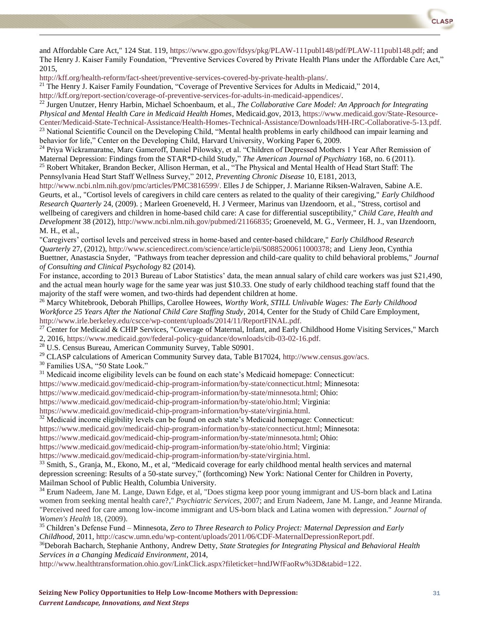and Affordable Care Act," 124 Stat. 119[, https://www.gpo.gov/fdsys/pkg/PLAW-111publ148/pdf/PLAW-111publ148.pdf;](https://www.gpo.gov/fdsys/pkg/PLAW-111publ148/pdf/PLAW-111publ148.pdf) and The Henry J. Kaiser Family Foundation, "Preventive Services Covered by Private Health Plans under the Affordable Care Act," 2015,

[http://kff.org/health-reform/fact-sheet/preventive-services-covered-by-private-health-plans/.](http://kff.org/health-reform/fact-sheet/preventive-services-covered-by-private-health-plans/)

<sup>21</sup> The Henry J. Kaiser Family Foundation, "Coverage of Preventive Services for Adults in Medicaid," 2014,

[http://kff.org/report-section/coverage-of-preventive-services-for-adults-in-medicaid-appendices/.](http://kff.org/report-section/coverage-of-preventive-services-for-adults-in-medicaid-appendices/)

<sup>22</sup> Jurgen Unutzer, Henry Harbin, Michael Schoenbaum, et al., *The Collaborative Care Model: An Approach for Integrating Physical and Mental Health Care in Medicaid Health Homes*, Medicaid.gov, 2013, [https://www.medicaid.gov/State-Resource-](https://www.medicaid.gov/State-Resource-Center/Medicaid-State-Technical-Assistance/Health-Homes-Technical-Assistance/Downloads/HH-IRC-Collaborative-5-13.pdf)[Center/Medicaid-State-Technical-Assistance/Health-Homes-Technical-Assistance/Downloads/HH-IRC-Collaborative-5-13.pdf.](https://www.medicaid.gov/State-Resource-Center/Medicaid-State-Technical-Assistance/Health-Homes-Technical-Assistance/Downloads/HH-IRC-Collaborative-5-13.pdf) <sup>23</sup> National Scientific Council on the Developing Child, "Mental health problems in early childhood can impair learning and behavior for life," Center on the Developing Child, Harvard University, Working Paper 6, 2009.

<sup>24</sup> Priya Wickramaratne, Marc Gameroff, Daniel Pilowsky, et al. "Children of Depressed Mothers 1 Year After Remission of Maternal Depression: Findings from the STAR\*D-child Study," *The American Journal of Psychiatry* 168, no. 6 (2011). <sup>25</sup> Robert Whitaker, Brandon Becker, Allison Herman, et al., "The Physical and Mental Health of Head Start Staff: The Pennsylvania Head Start Staff Wellness Survey," 2012, *Preventing Chronic Disease* 10, E181, 2013,

[http://www.ncbi.nlm.nih.gov/pmc/articles/PMC3816599/.](http://www.ncbi.nlm.nih.gov/pmc/articles/PMC3816599/) Elles J de Schipper, J. Marianne Riksen-Walraven, Sabine A.E. Geurts, et al., "Cortisol levels of caregivers in child care centers as related to the quality of their caregiving," *Early Childhood Research Quarterly* 24, (2009). ; Marleen Groeneveld, H. J Vermeer, Marinus van IJzendoorn, et al., "Stress, cortisol and wellbeing of caregivers and children in home-based child care: A case for differential susceptibility," *Child Care, Health and Development* 38 (2012), http://www.ncbi.nlm.nih.gov/pubmed/21166835; Groeneveld, M. G., Vermeer, H. J., van IJzendoorn, M. H., et al.,

"Caregivers' cortisol levels and perceived stress in home-based and center-based childcare," *Early Childhood Research Quarterly* 27, (2012), http://www.sciencedirect.com/science/article/pii/S0885200611000378; and Lieny Jeon, Cynthia Buettner, Anastascia Snyder, "Pathways from teacher depression and child-care quality to child behavioral problems," *Journal of Consulting and Clinical Psychology* 82 (2014).

For instance, according to 2013 Bureau of Labor Statistics' data, the mean annual salary of child care workers was just \$21,490, and the actual mean hourly wage for the same year was just \$10.33. One study of early childhood teaching staff found that the majority of the staff were women, and two-thirds had dependent children at home.

<sup>26</sup> Marcy Whitebrook, Deborah Phillips, Carollee Howees, *Worthy Work, STILL Unlivable Wages: The Early Childhood Workforce 25 Years After the National Child Care Staffing Study*, 2014, Center for the Study of Child Care Employment, http://www.irle.berkeley.edu/cscce/wp-content/uploads/2014/11/ReportFINAL.pdf.

<sup>27</sup> Center for Medicaid & CHIP Services, "Coverage of Maternal, Infant, and Early Childhood Home Visiting Services," March 2, 2016, https://www.medicaid.gov/federal-policy-guidance/downloads/cib-03-02-16.pdf.

<sup>28</sup> U.S. Census Bureau, American Community Survey, Table S0901.

<sup>29</sup> CLASP calculations of American Community Survey data, Table B17024, [http://www.census.gov/acs.](http://www.census.gov/acs/)

<sup>30</sup> Families USA, "50 State Look."

l

<sup>31</sup> Medicaid income eligibility levels can be found on each state's Medicaid homepage: Connecticut:

[https://www.medicaid.gov/medicaid-chip-program-information/by-state/connecticut.html;](https://www.medicaid.gov/medicaid-chip-program-information/by-state/connecticut.html) Minnesota:

[https://www.medicaid.gov/medicaid-chip-program-information/by-state/minnesota.html;](https://www.medicaid.gov/medicaid-chip-program-information/by-state/minnesota.html) Ohio:

[https://www.medicaid.gov/medicaid-chip-program-information/by-state/ohio.html;](https://www.medicaid.gov/medicaid-chip-program-information/by-state/ohio.html) Virginia:

[https://www.medicaid.gov/medicaid-chip-program-information/by-state/virginia.html.](https://www.medicaid.gov/medicaid-chip-program-information/by-state/virginia.html)

 $32$  Medicaid income eligibility levels can be found on each state's Medicaid homepage: Connecticut:

[https://www.medicaid.gov/medicaid-chip-program-information/by-state/connecticut.html;](https://www.medicaid.gov/medicaid-chip-program-information/by-state/connecticut.html) Minnesota:

[https://www.medicaid.gov/medicaid-chip-program-information/by-state/minnesota.html;](https://www.medicaid.gov/medicaid-chip-program-information/by-state/minnesota.html) Ohio:

[https://www.medicaid.gov/medicaid-chip-program-information/by-state/ohio.html;](https://www.medicaid.gov/medicaid-chip-program-information/by-state/ohio.html) Virginia:

[https://www.medicaid.gov/medicaid-chip-program-information/by-state/virginia.html.](https://www.medicaid.gov/medicaid-chip-program-information/by-state/virginia.html)

 $33$  Smith, S., Granja, M., Ekono, M., et al, "Medicaid coverage for early childhood mental health services and maternal depression screening: Results of a 50-state survey," (forthcoming) New York: National Center for Children in Poverty, Mailman School of Public Health, Columbia University.

<sup>34</sup> Erum Nadeem, Jane M. Lange, Dawn Edge, et al, "Does stigma keep poor young immigrant and US-born black and Latina women from seeking mental health care?," *Psychiatric Services*, 2007; and Erum Nadeem, Jane M. Lange, and Jeanne Miranda. "Perceived need for care among low-income immigrant and US-born black and Latina women with depression." *Journal of Women's Health* 18, (2009).

<sup>35</sup> Children's Defense Fund – Minnesota, *Zero to Three Research to Policy Project: Maternal Depression and Early Childhood*, 2011[, http://cascw.umn.edu/wp-content/uploads/2011/06/CDF-MaternalDepressionReport.pdf.](http://cascw.umn.edu/wp-content/uploads/2011/06/CDF-MaternalDepressionReport.pdf)

<sup>36</sup>Deborah Bacharch, Stephanie Anthony, Andrew Detty, *State Strategies for Integrating Physical and Behavioral Health Services in a Changing Medicaid Environment*, 2014,

http://www.healthtransformation.ohio.gov/LinkClick.aspx?fileticket=hndJWfFaoRw%3D&tabid=122.